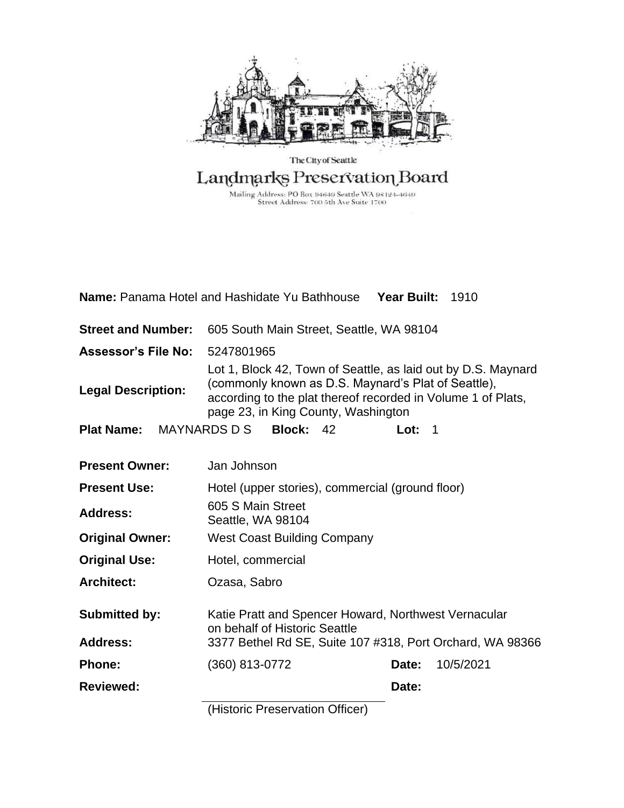

### The City of Seattle Landmarks Preservation Board

Mailing Address: PO Box 94649 Seattle WA 98124-4649<br>Street Address: 700 5th Ave Suite 1700

<span id="page-0-0"></span>

| <b>Name:</b> Panama Hotel and Hashidate Yu Bathhouse Year Built: 1910 |                                                                                                                                                                                                                             |                    |  |
|-----------------------------------------------------------------------|-----------------------------------------------------------------------------------------------------------------------------------------------------------------------------------------------------------------------------|--------------------|--|
| <b>Street and Number:</b>                                             | 605 South Main Street, Seattle, WA 98104                                                                                                                                                                                    |                    |  |
| <b>Assessor's File No:</b>                                            | 5247801965                                                                                                                                                                                                                  |                    |  |
| <b>Legal Description:</b>                                             | Lot 1, Block 42, Town of Seattle, as laid out by D.S. Maynard<br>(commonly known as D.S. Maynard's Plat of Seattle),<br>according to the plat thereof recorded in Volume 1 of Plats,<br>page 23, in King County, Washington |                    |  |
| <b>Plat Name:</b> MAYNARDS D S                                        | <b>Block: 42</b>                                                                                                                                                                                                            | Lot: $1$           |  |
| <b>Present Owner:</b>                                                 | Jan Johnson                                                                                                                                                                                                                 |                    |  |
| <b>Present Use:</b>                                                   | Hotel (upper stories), commercial (ground floor)                                                                                                                                                                            |                    |  |
| <b>Address:</b>                                                       | 605 S Main Street<br>Seattle, WA 98104                                                                                                                                                                                      |                    |  |
| <b>Original Owner:</b>                                                | <b>West Coast Building Company</b>                                                                                                                                                                                          |                    |  |
| <b>Original Use:</b>                                                  | Hotel, commercial                                                                                                                                                                                                           |                    |  |
| <b>Architect:</b>                                                     | Ozasa, Sabro                                                                                                                                                                                                                |                    |  |
| <b>Submitted by:</b><br><b>Address:</b>                               | Katie Pratt and Spencer Howard, Northwest Vernacular<br>on behalf of Historic Seattle<br>3377 Bethel Rd SE, Suite 107 #318, Port Orchard, WA 98366                                                                          |                    |  |
|                                                                       |                                                                                                                                                                                                                             |                    |  |
| <b>Phone:</b>                                                         | (360) 813-0772                                                                                                                                                                                                              | 10/5/2021<br>Date: |  |
| <b>Reviewed:</b>                                                      |                                                                                                                                                                                                                             | Date:              |  |

(Historic Preservation Officer)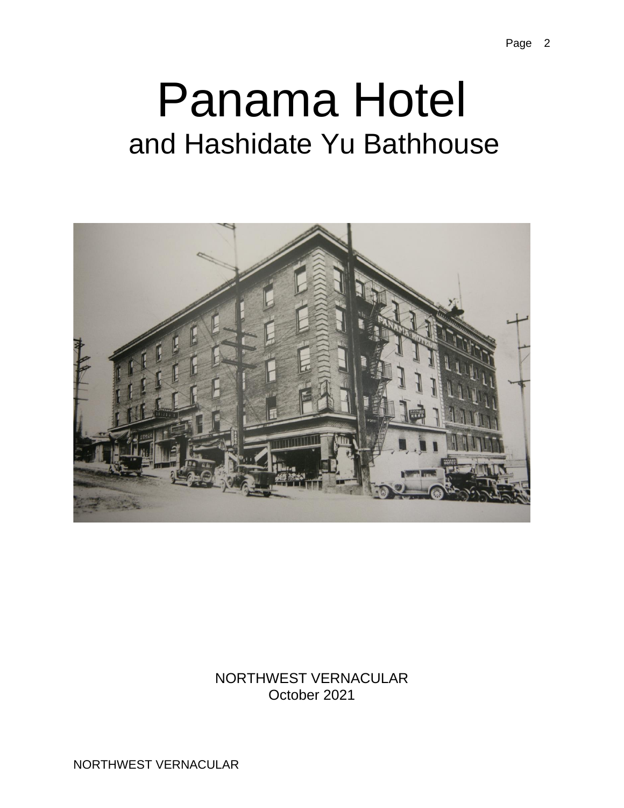# Panama Hotel and Hashidate Yu Bathhouse



NORTHWEST VERNACULAR October 2021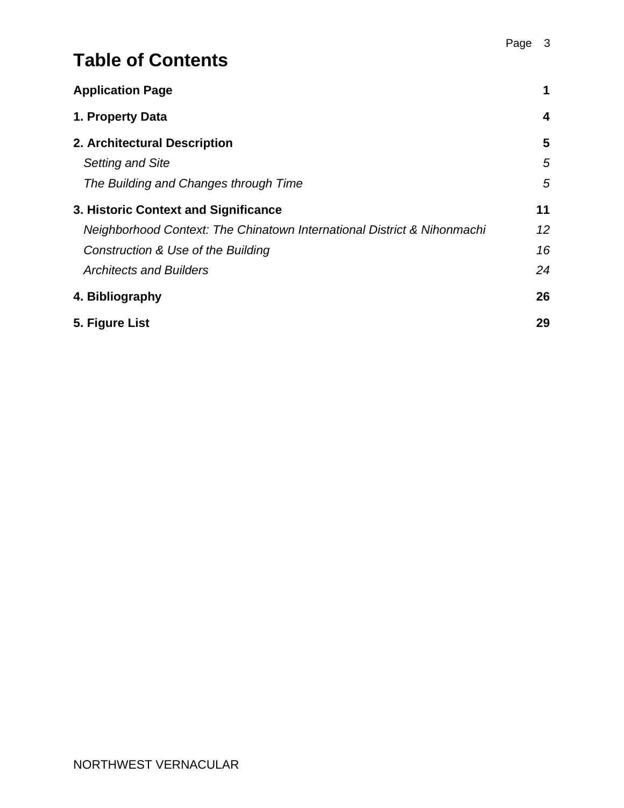# **Table of Contents**

| <b>Application Page</b>                                                 | 1  |
|-------------------------------------------------------------------------|----|
| 1. Property Data                                                        | 4  |
| 2. Architectural Description                                            | 5  |
| <b>Setting and Site</b>                                                 | 5  |
| The Building and Changes through Time                                   | 5  |
| 3. Historic Context and Significance                                    | 11 |
| Neighborhood Context: The Chinatown International District & Nihonmachi | 12 |
| Construction & Use of the Building                                      | 16 |
| <b>Architects and Builders</b>                                          | 24 |
| 4. Bibliography                                                         | 26 |
| 5. Figure List                                                          | 29 |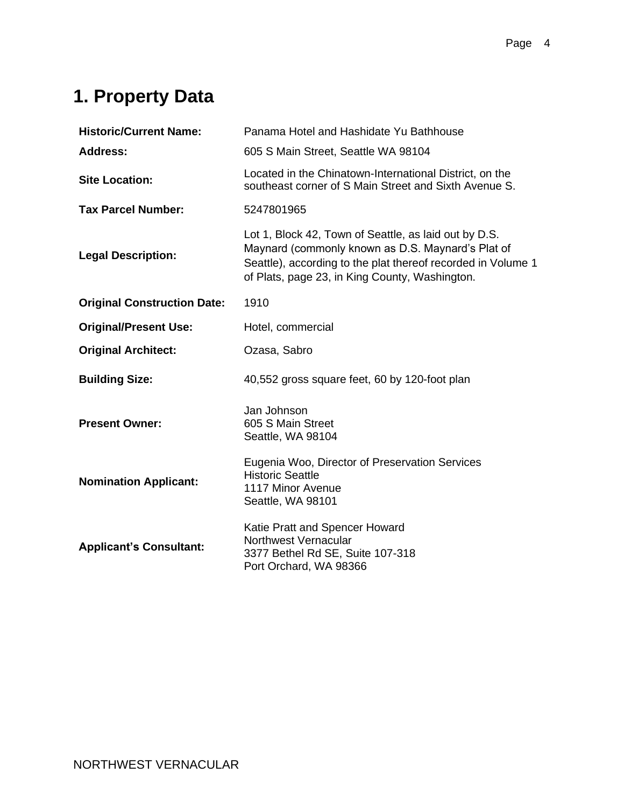# <span id="page-3-0"></span>**1. Property Data**

| <b>Historic/Current Name:</b>      | Panama Hotel and Hashidate Yu Bathhouse                                                                                                                                                                                      |
|------------------------------------|------------------------------------------------------------------------------------------------------------------------------------------------------------------------------------------------------------------------------|
| <b>Address:</b>                    | 605 S Main Street, Seattle WA 98104                                                                                                                                                                                          |
| <b>Site Location:</b>              | Located in the Chinatown-International District, on the<br>southeast corner of S Main Street and Sixth Avenue S.                                                                                                             |
| <b>Tax Parcel Number:</b>          | 5247801965                                                                                                                                                                                                                   |
| <b>Legal Description:</b>          | Lot 1, Block 42, Town of Seattle, as laid out by D.S.<br>Maynard (commonly known as D.S. Maynard's Plat of<br>Seattle), according to the plat thereof recorded in Volume 1<br>of Plats, page 23, in King County, Washington. |
| <b>Original Construction Date:</b> | 1910                                                                                                                                                                                                                         |
| <b>Original/Present Use:</b>       | Hotel, commercial                                                                                                                                                                                                            |
| <b>Original Architect:</b>         | Ozasa, Sabro                                                                                                                                                                                                                 |
| <b>Building Size:</b>              | 40,552 gross square feet, 60 by 120-foot plan                                                                                                                                                                                |
| <b>Present Owner:</b>              | Jan Johnson<br>605 S Main Street<br>Seattle, WA 98104                                                                                                                                                                        |
| <b>Nomination Applicant:</b>       | Eugenia Woo, Director of Preservation Services<br><b>Historic Seattle</b><br>1117 Minor Avenue<br>Seattle, WA 98101                                                                                                          |
| <b>Applicant's Consultant:</b>     | Katie Pratt and Spencer Howard<br>Northwest Vernacular<br>3377 Bethel Rd SE, Suite 107-318<br>Port Orchard, WA 98366                                                                                                         |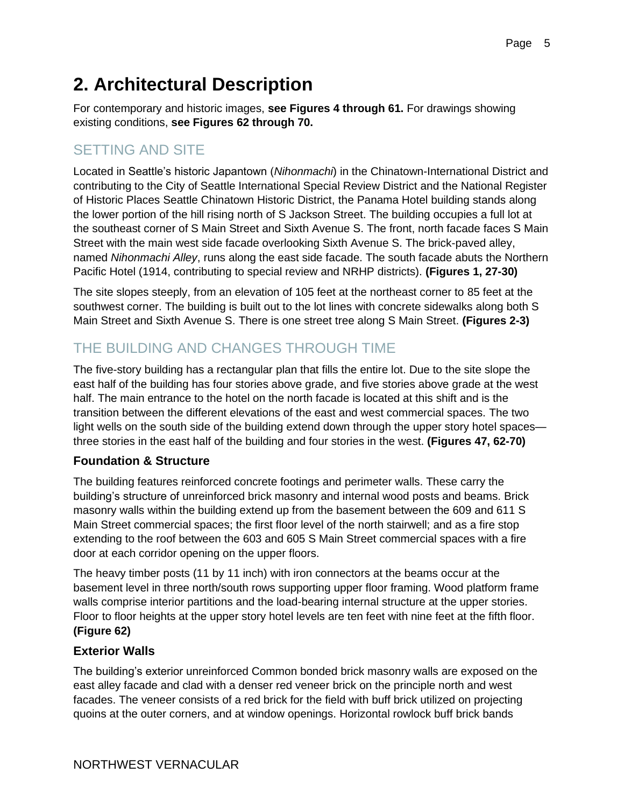# <span id="page-4-0"></span>**2. Architectural Description**

For contemporary and historic images, **see Figures 4 through 61.** For drawings showing existing conditions, **see Figures 62 through 70.**

### <span id="page-4-1"></span>SETTING AND SITE

Located in Seattle's historic Japantown (*Nihonmachi*) in the Chinatown-International District and contributing to the City of Seattle International Special Review District and the National Register of Historic Places Seattle Chinatown Historic District, the Panama Hotel building stands along the lower portion of the hill rising north of S Jackson Street. The building occupies a full lot at the southeast corner of S Main Street and Sixth Avenue S. The front, north facade faces S Main Street with the main west side facade overlooking Sixth Avenue S. The brick-paved alley, named *Nihonmachi Alley*, runs along the east side facade. The south facade abuts the Northern Pacific Hotel (1914, contributing to special review and NRHP districts). **(Figures 1, 27-30)**

The site slopes steeply, from an elevation of 105 feet at the northeast corner to 85 feet at the southwest corner. The building is built out to the lot lines with concrete sidewalks along both S Main Street and Sixth Avenue S. There is one street tree along S Main Street. **(Figures 2-3)**

### <span id="page-4-2"></span>THE BUILDING AND CHANGES THROUGH TIME

The five-story building has a rectangular plan that fills the entire lot. Due to the site slope the east half of the building has four stories above grade, and five stories above grade at the west half. The main entrance to the hotel on the north facade is located at this shift and is the transition between the different elevations of the east and west commercial spaces. The two light wells on the south side of the building extend down through the upper story hotel spaces three stories in the east half of the building and four stories in the west. **(Figures 47, 62-70)**

#### **Foundation & Structure**

The building features reinforced concrete footings and perimeter walls. These carry the building's structure of unreinforced brick masonry and internal wood posts and beams. Brick masonry walls within the building extend up from the basement between the 609 and 611 S Main Street commercial spaces; the first floor level of the north stairwell; and as a fire stop extending to the roof between the 603 and 605 S Main Street commercial spaces with a fire door at each corridor opening on the upper floors.

The heavy timber posts (11 by 11 inch) with iron connectors at the beams occur at the basement level in three north/south rows supporting upper floor framing. Wood platform frame walls comprise interior partitions and the load-bearing internal structure at the upper stories. Floor to floor heights at the upper story hotel levels are ten feet with nine feet at the fifth floor. **(Figure 62)**

#### **Exterior Walls**

The building's exterior unreinforced Common bonded brick masonry walls are exposed on the east alley facade and clad with a denser red veneer brick on the principle north and west facades. The veneer consists of a red brick for the field with buff brick utilized on projecting quoins at the outer corners, and at window openings. Horizontal rowlock buff brick bands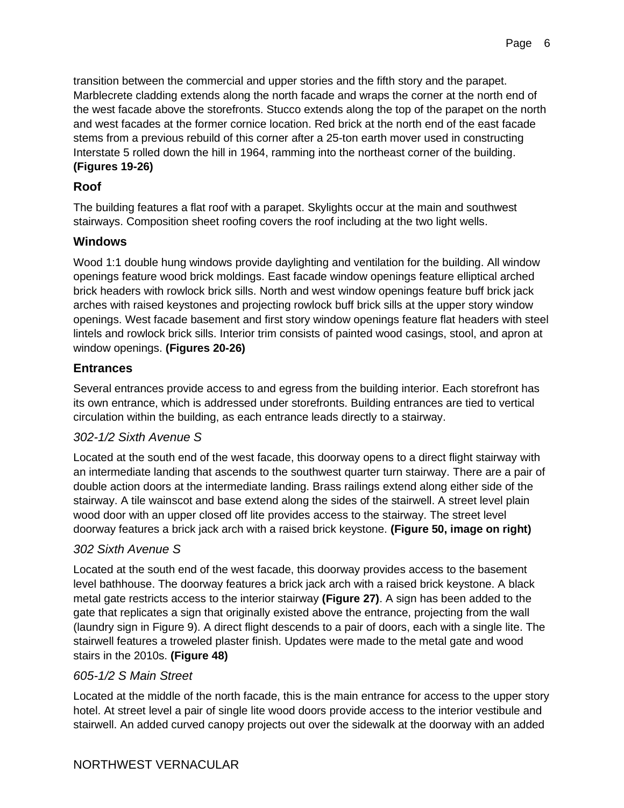transition between the commercial and upper stories and the fifth story and the parapet. Marblecrete cladding extends along the north facade and wraps the corner at the north end of the west facade above the storefronts. Stucco extends along the top of the parapet on the north and west facades at the former cornice location. Red brick at the north end of the east facade stems from a previous rebuild of this corner after a 25-ton earth mover used in constructing Interstate 5 rolled down the hill in 1964, ramming into the northeast corner of the building. **(Figures 19-26)**

#### **Roof**

The building features a flat roof with a parapet. Skylights occur at the main and southwest stairways. Composition sheet roofing covers the roof including at the two light wells.

#### **Windows**

Wood 1:1 double hung windows provide daylighting and ventilation for the building. All window openings feature wood brick moldings. East facade window openings feature elliptical arched brick headers with rowlock brick sills. North and west window openings feature buff brick jack arches with raised keystones and projecting rowlock buff brick sills at the upper story window openings. West facade basement and first story window openings feature flat headers with steel lintels and rowlock brick sills. Interior trim consists of painted wood casings, stool, and apron at window openings. **(Figures 20-26)**

#### **Entrances**

Several entrances provide access to and egress from the building interior. Each storefront has its own entrance, which is addressed under storefronts. Building entrances are tied to vertical circulation within the building, as each entrance leads directly to a stairway.

#### *302-1/2 Sixth Avenue S*

Located at the south end of the west facade, this doorway opens to a direct flight stairway with an intermediate landing that ascends to the southwest quarter turn stairway. There are a pair of double action doors at the intermediate landing. Brass railings extend along either side of the stairway. A tile wainscot and base extend along the sides of the stairwell. A street level plain wood door with an upper closed off lite provides access to the stairway. The street level doorway features a brick jack arch with a raised brick keystone. **(Figure 50, image on right)**

#### *302 Sixth Avenue S*

Located at the south end of the west facade, this doorway provides access to the basement level bathhouse. The doorway features a brick jack arch with a raised brick keystone. A black metal gate restricts access to the interior stairway **(Figure 27)**. A sign has been added to the gate that replicates a sign that originally existed above the entrance, projecting from the wall (laundry sign in Figure 9). A direct flight descends to a pair of doors, each with a single lite. The stairwell features a troweled plaster finish. Updates were made to the metal gate and wood stairs in the 2010s. **(Figure 48)**

#### *605-1/2 S Main Street*

Located at the middle of the north facade, this is the main entrance for access to the upper story hotel. At street level a pair of single lite wood doors provide access to the interior vestibule and stairwell. An added curved canopy projects out over the sidewalk at the doorway with an added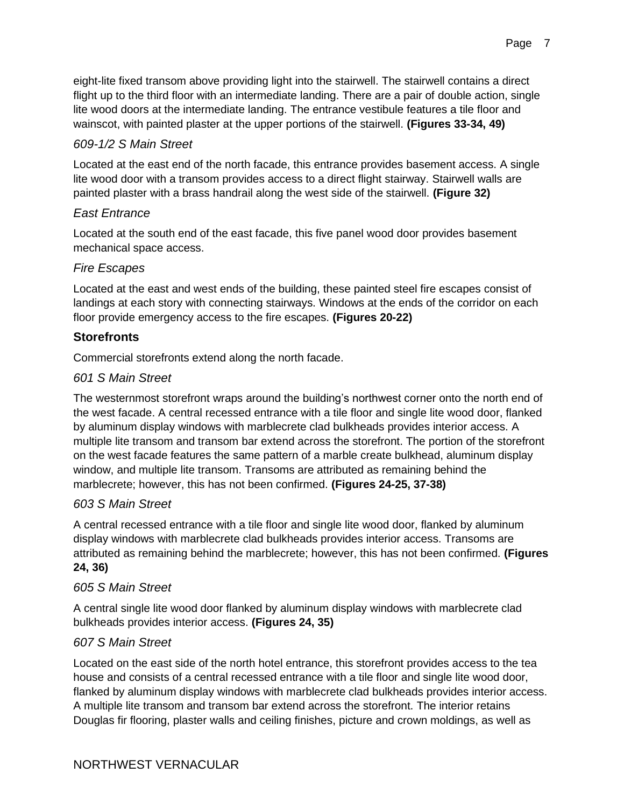eight-lite fixed transom above providing light into the stairwell. The stairwell contains a direct flight up to the third floor with an intermediate landing. There are a pair of double action, single lite wood doors at the intermediate landing. The entrance vestibule features a tile floor and wainscot, with painted plaster at the upper portions of the stairwell. **(Figures 33-34, 49)**

#### *609-1/2 S Main Street*

Located at the east end of the north facade, this entrance provides basement access. A single lite wood door with a transom provides access to a direct flight stairway. Stairwell walls are painted plaster with a brass handrail along the west side of the stairwell. **(Figure 32)**

#### *East Entrance*

Located at the south end of the east facade, this five panel wood door provides basement mechanical space access.

#### *Fire Escapes*

Located at the east and west ends of the building, these painted steel fire escapes consist of landings at each story with connecting stairways. Windows at the ends of the corridor on each floor provide emergency access to the fire escapes. **(Figures 20-22)**

#### **Storefronts**

Commercial storefronts extend along the north facade.

#### *601 S Main Street*

The westernmost storefront wraps around the building's northwest corner onto the north end of the west facade. A central recessed entrance with a tile floor and single lite wood door, flanked by aluminum display windows with marblecrete clad bulkheads provides interior access. A multiple lite transom and transom bar extend across the storefront. The portion of the storefront on the west facade features the same pattern of a marble create bulkhead, aluminum display window, and multiple lite transom. Transoms are attributed as remaining behind the marblecrete; however, this has not been confirmed. **(Figures 24-25, 37-38)**

#### *603 S Main Street*

A central recessed entrance with a tile floor and single lite wood door, flanked by aluminum display windows with marblecrete clad bulkheads provides interior access. Transoms are attributed as remaining behind the marblecrete; however, this has not been confirmed. **(Figures 24, 36)**

#### *605 S Main Street*

A central single lite wood door flanked by aluminum display windows with marblecrete clad bulkheads provides interior access. **(Figures 24, 35)**

#### *607 S Main Street*

Located on the east side of the north hotel entrance, this storefront provides access to the tea house and consists of a central recessed entrance with a tile floor and single lite wood door, flanked by aluminum display windows with marblecrete clad bulkheads provides interior access. A multiple lite transom and transom bar extend across the storefront. The interior retains Douglas fir flooring, plaster walls and ceiling finishes, picture and crown moldings, as well as

#### NORTHWEST VERNACULAR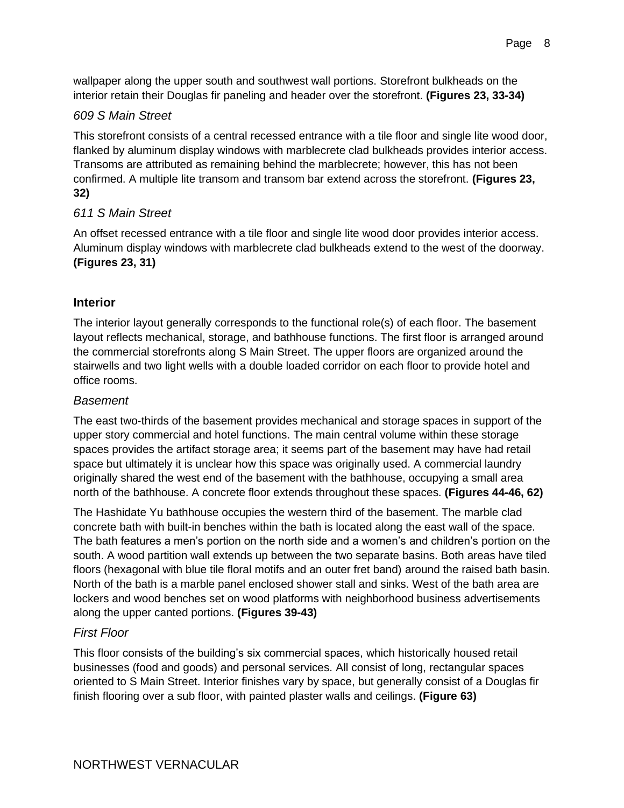#### *609 S Main Street*

This storefront consists of a central recessed entrance with a tile floor and single lite wood door, flanked by aluminum display windows with marblecrete clad bulkheads provides interior access. Transoms are attributed as remaining behind the marblecrete; however, this has not been confirmed. A multiple lite transom and transom bar extend across the storefront. **(Figures 23, 32)**

#### *611 S Main Street*

An offset recessed entrance with a tile floor and single lite wood door provides interior access. Aluminum display windows with marblecrete clad bulkheads extend to the west of the doorway. **(Figures 23, 31)**

#### **Interior**

The interior layout generally corresponds to the functional role(s) of each floor. The basement layout reflects mechanical, storage, and bathhouse functions. The first floor is arranged around the commercial storefronts along S Main Street. The upper floors are organized around the stairwells and two light wells with a double loaded corridor on each floor to provide hotel and office rooms.

#### *Basement*

The east two-thirds of the basement provides mechanical and storage spaces in support of the upper story commercial and hotel functions. The main central volume within these storage spaces provides the artifact storage area; it seems part of the basement may have had retail space but ultimately it is unclear how this space was originally used. A commercial laundry originally shared the west end of the basement with the bathhouse, occupying a small area north of the bathhouse. A concrete floor extends throughout these spaces. **(Figures 44-46, 62)**

The Hashidate Yu bathhouse occupies the western third of the basement. The marble clad concrete bath with built-in benches within the bath is located along the east wall of the space. The bath features a men's portion on the north side and a women's and children's portion on the south. A wood partition wall extends up between the two separate basins. Both areas have tiled floors (hexagonal with blue tile floral motifs and an outer fret band) around the raised bath basin. North of the bath is a marble panel enclosed shower stall and sinks. West of the bath area are lockers and wood benches set on wood platforms with neighborhood business advertisements along the upper canted portions. **(Figures 39-43)**

#### *First Floor*

This floor consists of the building's six commercial spaces, which historically housed retail businesses (food and goods) and personal services. All consist of long, rectangular spaces oriented to S Main Street. Interior finishes vary by space, but generally consist of a Douglas fir finish flooring over a sub floor, with painted plaster walls and ceilings. **(Figure 63)**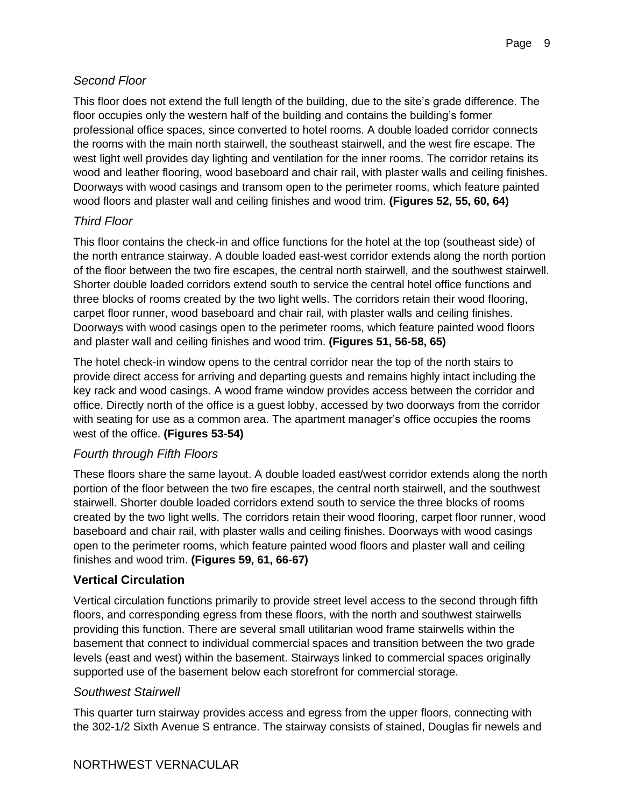#### *Second Floor*

This floor does not extend the full length of the building, due to the site's grade difference. The floor occupies only the western half of the building and contains the building's former professional office spaces, since converted to hotel rooms. A double loaded corridor connects the rooms with the main north stairwell, the southeast stairwell, and the west fire escape. The west light well provides day lighting and ventilation for the inner rooms. The corridor retains its wood and leather flooring, wood baseboard and chair rail, with plaster walls and ceiling finishes. Doorways with wood casings and transom open to the perimeter rooms, which feature painted wood floors and plaster wall and ceiling finishes and wood trim. **(Figures 52, 55, 60, 64)**

#### *Third Floor*

This floor contains the check-in and office functions for the hotel at the top (southeast side) of the north entrance stairway. A double loaded east-west corridor extends along the north portion of the floor between the two fire escapes, the central north stairwell, and the southwest stairwell. Shorter double loaded corridors extend south to service the central hotel office functions and three blocks of rooms created by the two light wells. The corridors retain their wood flooring, carpet floor runner, wood baseboard and chair rail, with plaster walls and ceiling finishes. Doorways with wood casings open to the perimeter rooms, which feature painted wood floors and plaster wall and ceiling finishes and wood trim. **(Figures 51, 56-58, 65)**

The hotel check-in window opens to the central corridor near the top of the north stairs to provide direct access for arriving and departing guests and remains highly intact including the key rack and wood casings. A wood frame window provides access between the corridor and office. Directly north of the office is a guest lobby, accessed by two doorways from the corridor with seating for use as a common area. The apartment manager's office occupies the rooms west of the office. **(Figures 53-54)**

#### *Fourth through Fifth Floors*

These floors share the same layout. A double loaded east/west corridor extends along the north portion of the floor between the two fire escapes, the central north stairwell, and the southwest stairwell. Shorter double loaded corridors extend south to service the three blocks of rooms created by the two light wells. The corridors retain their wood flooring, carpet floor runner, wood baseboard and chair rail, with plaster walls and ceiling finishes. Doorways with wood casings open to the perimeter rooms, which feature painted wood floors and plaster wall and ceiling finishes and wood trim. **(Figures 59, 61, 66-67)**

#### **Vertical Circulation**

Vertical circulation functions primarily to provide street level access to the second through fifth floors, and corresponding egress from these floors, with the north and southwest stairwells providing this function. There are several small utilitarian wood frame stairwells within the basement that connect to individual commercial spaces and transition between the two grade levels (east and west) within the basement. Stairways linked to commercial spaces originally supported use of the basement below each storefront for commercial storage.

#### *Southwest Stairwell*

This quarter turn stairway provides access and egress from the upper floors, connecting with the 302-1/2 Sixth Avenue S entrance. The stairway consists of stained, Douglas fir newels and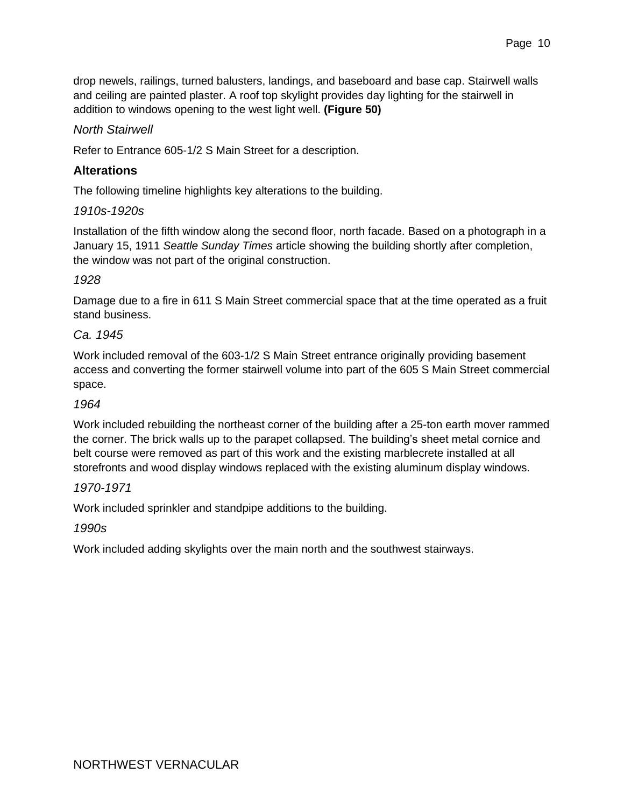drop newels, railings, turned balusters, landings, and baseboard and base cap. Stairwell walls and ceiling are painted plaster. A roof top skylight provides day lighting for the stairwell in addition to windows opening to the west light well. **(Figure 50)**

#### *North Stairwell*

Refer to Entrance 605-1/2 S Main Street for a description.

#### **Alterations**

The following timeline highlights key alterations to the building.

#### *1910s-1920s*

Installation of the fifth window along the second floor, north facade. Based on a photograph in a January 15, 1911 *Seattle Sunday Times* article showing the building shortly after completion, the window was not part of the original construction.

#### *1928*

Damage due to a fire in 611 S Main Street commercial space that at the time operated as a fruit stand business.

#### *Ca. 1945*

Work included removal of the 603-1/2 S Main Street entrance originally providing basement access and converting the former stairwell volume into part of the 605 S Main Street commercial space.

#### *1964*

Work included rebuilding the northeast corner of the building after a 25-ton earth mover rammed the corner. The brick walls up to the parapet collapsed. The building's sheet metal cornice and belt course were removed as part of this work and the existing marblecrete installed at all storefronts and wood display windows replaced with the existing aluminum display windows.

#### *1970-1971*

Work included sprinkler and standpipe additions to the building.

*1990s*

Work included adding skylights over the main north and the southwest stairways.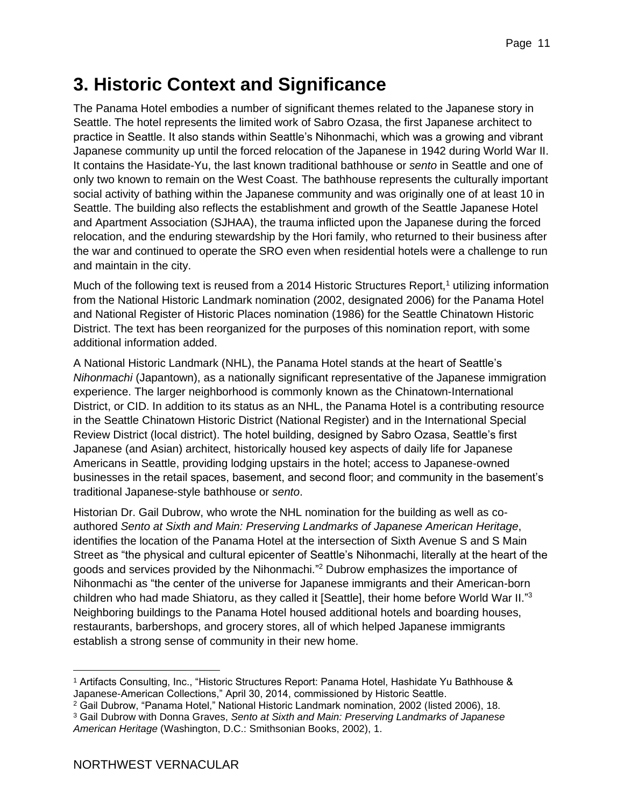# <span id="page-10-0"></span>**3. Historic Context and Significance**

The Panama Hotel embodies a number of significant themes related to the Japanese story in Seattle. The hotel represents the limited work of Sabro Ozasa, the first Japanese architect to practice in Seattle. It also stands within Seattle's Nihonmachi, which was a growing and vibrant Japanese community up until the forced relocation of the Japanese in 1942 during World War II. It contains the Hasidate-Yu, the last known traditional bathhouse or *sento* in Seattle and one of only two known to remain on the West Coast. The bathhouse represents the culturally important social activity of bathing within the Japanese community and was originally one of at least 10 in Seattle. The building also reflects the establishment and growth of the Seattle Japanese Hotel and Apartment Association (SJHAA), the trauma inflicted upon the Japanese during the forced relocation, and the enduring stewardship by the Hori family, who returned to their business after the war and continued to operate the SRO even when residential hotels were a challenge to run and maintain in the city.

Much of the following text is reused from a 2014 Historic Structures Report,<sup>1</sup> utilizing information from the National Historic Landmark nomination (2002, designated 2006) for the Panama Hotel and National Register of Historic Places nomination (1986) for the Seattle Chinatown Historic District. The text has been reorganized for the purposes of this nomination report, with some additional information added.

A National Historic Landmark (NHL), the Panama Hotel stands at the heart of Seattle's *Nihonmachi* (Japantown), as a nationally significant representative of the Japanese immigration experience. The larger neighborhood is commonly known as the Chinatown-International District, or CID. In addition to its status as an NHL, the Panama Hotel is a contributing resource in the Seattle Chinatown Historic District (National Register) and in the International Special Review District (local district). The hotel building, designed by Sabro Ozasa, Seattle's first Japanese (and Asian) architect, historically housed key aspects of daily life for Japanese Americans in Seattle, providing lodging upstairs in the hotel; access to Japanese-owned businesses in the retail spaces, basement, and second floor; and community in the basement's traditional Japanese-style bathhouse or *sento*.

Historian Dr. Gail Dubrow, who wrote the NHL nomination for the building as well as coauthored *Sento at Sixth and Main: Preserving Landmarks of Japanese American Heritage*, identifies the location of the Panama Hotel at the intersection of Sixth Avenue S and S Main Street as "the physical and cultural epicenter of Seattle's Nihonmachi, literally at the heart of the goods and services provided by the Nihonmachi." <sup>2</sup> Dubrow emphasizes the importance of Nihonmachi as "the center of the universe for Japanese immigrants and their American-born children who had made Shiatoru, as they called it [Seattle], their home before World War II."3 Neighboring buildings to the Panama Hotel housed additional hotels and boarding houses, restaurants, barbershops, and grocery stores, all of which helped Japanese immigrants establish a strong sense of community in their new home.

<sup>1</sup> Artifacts Consulting, Inc., "Historic Structures Report: Panama Hotel, Hashidate Yu Bathhouse & Japanese-American Collections," April 30, 2014, commissioned by Historic Seattle.

<sup>2</sup> Gail Dubrow, "Panama Hotel," National Historic Landmark nomination, 2002 (listed 2006), 18.

<sup>3</sup> Gail Dubrow with Donna Graves, *Sento at Sixth and Main: Preserving Landmarks of Japanese American Heritage* (Washington, D.C.: Smithsonian Books, 2002), 1.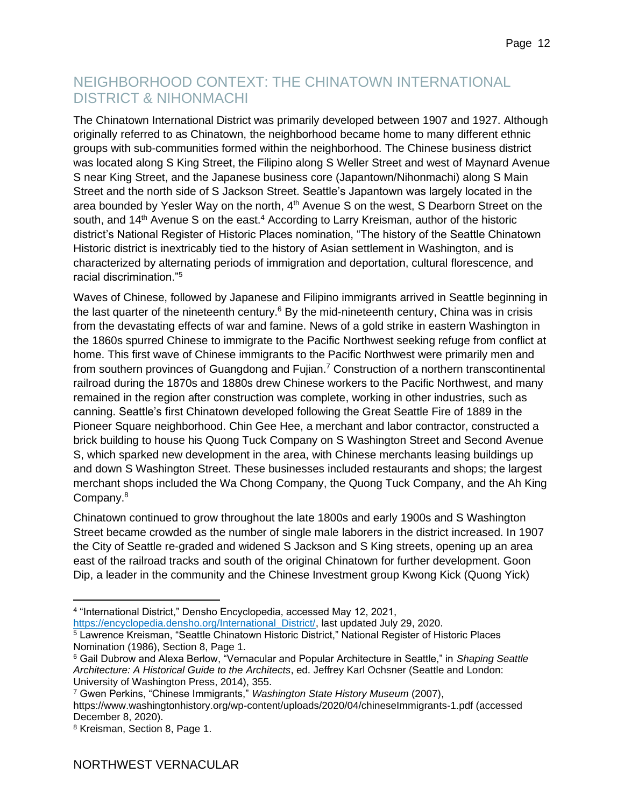### <span id="page-11-0"></span>NEIGHBORHOOD CONTEXT: THE CHINATOWN INTERNATIONAL DISTRICT & NIHONMACHI

The Chinatown International District was primarily developed between 1907 and 1927. Although originally referred to as Chinatown, the neighborhood became home to many different ethnic groups with sub-communities formed within the neighborhood. The Chinese business district was located along S King Street, the Filipino along S Weller Street and west of Maynard Avenue S near King Street, and the Japanese business core (Japantown/Nihonmachi) along S Main Street and the north side of S Jackson Street. Seattle's Japantown was largely located in the area bounded by Yesler Way on the north, 4<sup>th</sup> Avenue S on the west, S Dearborn Street on the south, and 14<sup>th</sup> Avenue S on the east.<sup>4</sup> According to Larry Kreisman, author of the historic district's National Register of Historic Places nomination, "The history of the Seattle Chinatown Historic district is inextricably tied to the history of Asian settlement in Washington, and is characterized by alternating periods of immigration and deportation, cultural florescence, and racial discrimination<sup>"5</sup>

Waves of Chinese, followed by Japanese and Filipino immigrants arrived in Seattle beginning in the last quarter of the nineteenth century.<sup>6</sup> By the mid-nineteenth century, China was in crisis from the devastating effects of war and famine. News of a gold strike in eastern Washington in the 1860s spurred Chinese to immigrate to the Pacific Northwest seeking refuge from conflict at home. This first wave of Chinese immigrants to the Pacific Northwest were primarily men and from southern provinces of Guangdong and Fujian.<sup>7</sup> Construction of a northern transcontinental railroad during the 1870s and 1880s drew Chinese workers to the Pacific Northwest, and many remained in the region after construction was complete, working in other industries, such as canning. Seattle's first Chinatown developed following the Great Seattle Fire of 1889 in the Pioneer Square neighborhood. Chin Gee Hee, a merchant and labor contractor, constructed a brick building to house his Quong Tuck Company on S Washington Street and Second Avenue S, which sparked new development in the area, with Chinese merchants leasing buildings up and down S Washington Street. These businesses included restaurants and shops; the largest merchant shops included the Wa Chong Company, the Quong Tuck Company, and the Ah King Company.<sup>8</sup>

Chinatown continued to grow throughout the late 1800s and early 1900s and S Washington Street became crowded as the number of single male laborers in the district increased. In 1907 the City of Seattle re-graded and widened S Jackson and S King streets, opening up an area east of the railroad tracks and south of the original Chinatown for further development. Goon Dip, a leader in the community and the Chinese Investment group Kwong Kick (Quong Yick)

[https://encyclopedia.densho.org/International\\_District/,](https://encyclopedia.densho.org/International_District/) last updated July 29, 2020.

<sup>4</sup> "International District," Densho Encyclopedia, accessed May 12, 2021,

<sup>&</sup>lt;sup>5</sup> Lawrence Kreisman, "Seattle Chinatown Historic District," National Register of Historic Places Nomination (1986), Section 8, Page 1.

<sup>6</sup> Gail Dubrow and Alexa Berlow, "Vernacular and Popular Architecture in Seattle," in *Shaping Seattle Architecture: A Historical Guide to the Architects*, ed. Jeffrey Karl Ochsner (Seattle and London: University of Washington Press, 2014), 355.

<sup>7</sup> Gwen Perkins, "Chinese Immigrants," *Washington State History Museum* (2007), https://www.washingtonhistory.org/wp-content/uploads/2020/04/chineseImmigrants-1.pdf (accessed December 8, 2020).

<sup>8</sup> Kreisman, Section 8, Page 1.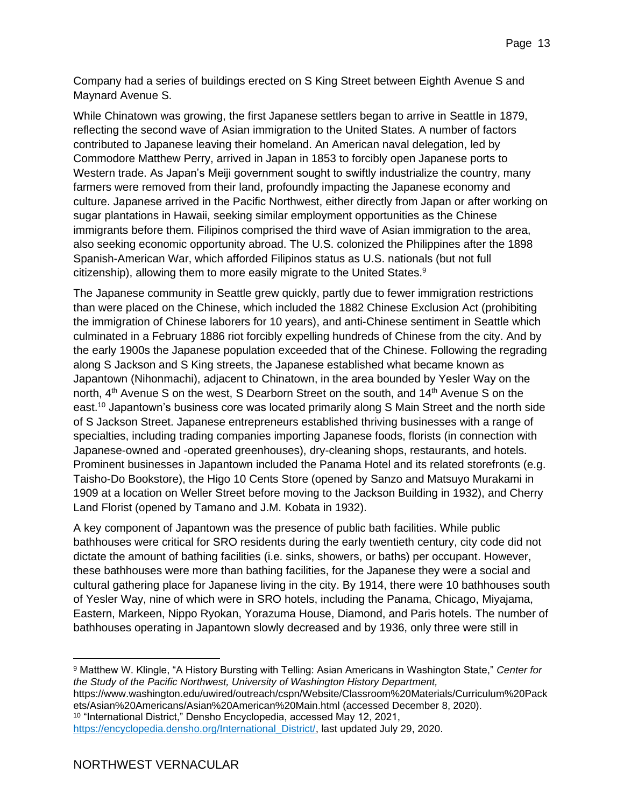Company had a series of buildings erected on S King Street between Eighth Avenue S and Maynard Avenue S.

While Chinatown was growing, the first Japanese settlers began to arrive in Seattle in 1879, reflecting the second wave of Asian immigration to the United States. A number of factors contributed to Japanese leaving their homeland. An American naval delegation, led by Commodore Matthew Perry, arrived in Japan in 1853 to forcibly open Japanese ports to Western trade. As Japan's Meiji government sought to swiftly industrialize the country, many farmers were removed from their land, profoundly impacting the Japanese economy and culture. Japanese arrived in the Pacific Northwest, either directly from Japan or after working on sugar plantations in Hawaii, seeking similar employment opportunities as the Chinese immigrants before them. Filipinos comprised the third wave of Asian immigration to the area, also seeking economic opportunity abroad. The U.S. colonized the Philippines after the 1898 Spanish-American War, which afforded Filipinos status as U.S. nationals (but not full citizenship), allowing them to more easily migrate to the United States.<sup>9</sup>

The Japanese community in Seattle grew quickly, partly due to fewer immigration restrictions than were placed on the Chinese, which included the 1882 Chinese Exclusion Act (prohibiting the immigration of Chinese laborers for 10 years), and anti-Chinese sentiment in Seattle which culminated in a February 1886 riot forcibly expelling hundreds of Chinese from the city. And by the early 1900s the Japanese population exceeded that of the Chinese. Following the regrading along S Jackson and S King streets, the Japanese established what became known as Japantown (Nihonmachi), adjacent to Chinatown, in the area bounded by Yesler Way on the north, 4<sup>th</sup> Avenue S on the west, S Dearborn Street on the south, and 14<sup>th</sup> Avenue S on the east.<sup>10</sup> Japantown's business core was located primarily along S Main Street and the north side of S Jackson Street. Japanese entrepreneurs established thriving businesses with a range of specialties, including trading companies importing Japanese foods, florists (in connection with Japanese-owned and -operated greenhouses), dry-cleaning shops, restaurants, and hotels. Prominent businesses in Japantown included the Panama Hotel and its related storefronts (e.g. Taisho-Do Bookstore), the Higo 10 Cents Store (opened by Sanzo and Matsuyo Murakami in 1909 at a location on Weller Street before moving to the Jackson Building in 1932), and Cherry Land Florist (opened by Tamano and J.M. Kobata in 1932).

A key component of Japantown was the presence of public bath facilities. While public bathhouses were critical for SRO residents during the early twentieth century, city code did not dictate the amount of bathing facilities (i.e. sinks, showers, or baths) per occupant. However, these bathhouses were more than bathing facilities, for the Japanese they were a social and cultural gathering place for Japanese living in the city. By 1914, there were 10 bathhouses south of Yesler Way, nine of which were in SRO hotels, including the Panama, Chicago, Miyajama, Eastern, Markeen, Nippo Ryokan, Yorazuma House, Diamond, and Paris hotels. The number of bathhouses operating in Japantown slowly decreased and by 1936, only three were still in

<sup>9</sup> Matthew W. Klingle, "A History Bursting with Telling: Asian Americans in Washington State," *Center for the Study of the Pacific Northwest, University of Washington History Department,*

https://www.washington.edu/uwired/outreach/cspn/Website/Classroom%20Materials/Curriculum%20Pack ets/Asian%20Americans/Asian%20American%20Main.html (accessed December 8, 2020). <sup>10</sup> "International District," Densho Encyclopedia, accessed May 12, 2021,

[https://encyclopedia.densho.org/International\\_District/,](https://encyclopedia.densho.org/International_District/) last updated July 29, 2020.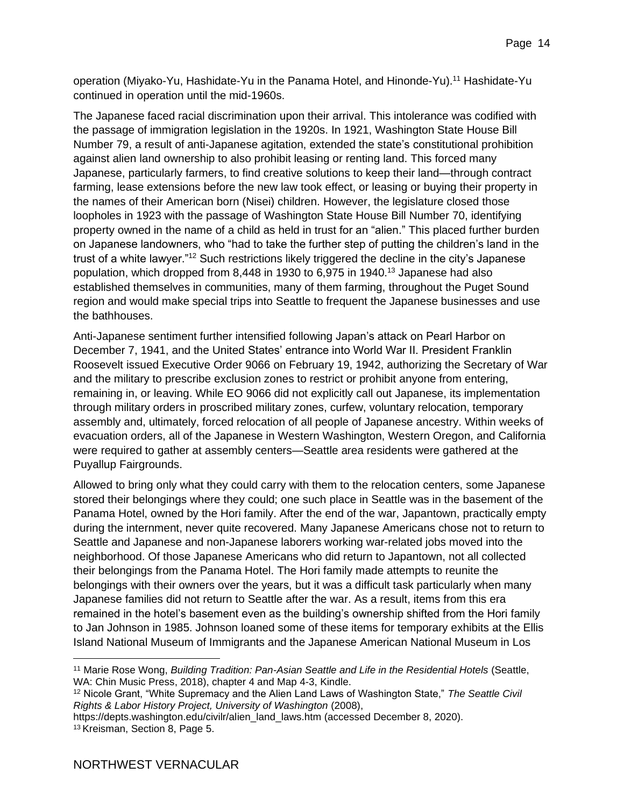operation (Miyako-Yu, Hashidate-Yu in the Panama Hotel, and Hinonde-Yu).<sup>11</sup> Hashidate-Yu continued in operation until the mid-1960s.

The Japanese faced racial discrimination upon their arrival. This intolerance was codified with the passage of immigration legislation in the 1920s. In 1921, Washington State House Bill Number 79, a result of anti-Japanese agitation, extended the state's constitutional prohibition against alien land ownership to also prohibit leasing or renting land. This forced many Japanese, particularly farmers, to find creative solutions to keep their land—through contract farming, lease extensions before the new law took effect, or leasing or buying their property in the names of their American born (Nisei) children. However, the legislature closed those loopholes in 1923 with the passage of Washington State House Bill Number 70, identifying property owned in the name of a child as held in trust for an "alien." This placed further burden on Japanese landowners, who "had to take the further step of putting the children's land in the trust of a white lawyer."<sup>12</sup> Such restrictions likely triggered the decline in the city's Japanese population, which dropped from 8,448 in 1930 to 6,975 in 1940.<sup>13</sup> Japanese had also established themselves in communities, many of them farming, throughout the Puget Sound region and would make special trips into Seattle to frequent the Japanese businesses and use the bathhouses.

Anti-Japanese sentiment further intensified following Japan's attack on Pearl Harbor on December 7, 1941, and the United States' entrance into World War II. President Franklin Roosevelt issued Executive Order 9066 on February 19, 1942, authorizing the Secretary of War and the military to prescribe exclusion zones to restrict or prohibit anyone from entering, remaining in, or leaving. While EO 9066 did not explicitly call out Japanese, its implementation through military orders in proscribed military zones, curfew, voluntary relocation, temporary assembly and, ultimately, forced relocation of all people of Japanese ancestry. Within weeks of evacuation orders, all of the Japanese in Western Washington, Western Oregon, and California were required to gather at assembly centers—Seattle area residents were gathered at the Puyallup Fairgrounds.

Allowed to bring only what they could carry with them to the relocation centers, some Japanese stored their belongings where they could; one such place in Seattle was in the basement of the Panama Hotel, owned by the Hori family. After the end of the war, Japantown, practically empty during the internment, never quite recovered. Many Japanese Americans chose not to return to Seattle and Japanese and non-Japanese laborers working war-related jobs moved into the neighborhood. Of those Japanese Americans who did return to Japantown, not all collected their belongings from the Panama Hotel. The Hori family made attempts to reunite the belongings with their owners over the years, but it was a difficult task particularly when many Japanese families did not return to Seattle after the war. As a result, items from this era remained in the hotel's basement even as the building's ownership shifted from the Hori family to Jan Johnson in 1985. Johnson loaned some of these items for temporary exhibits at the Ellis Island National Museum of Immigrants and the Japanese American National Museum in Los

```
https://depts.washington.edu/civilr/alien_land_laws.htm (accessed December 8, 2020). 
13 Kreisman, Section 8, Page 5.
```
<sup>11</sup> Marie Rose Wong, *Building Tradition: Pan-Asian Seattle and Life in the Residential Hotels* (Seattle, WA: Chin Music Press, 2018), chapter 4 and Map 4-3, Kindle.

<sup>12</sup> Nicole Grant, "White Supremacy and the Alien Land Laws of Washington State," *The Seattle Civil Rights & Labor History Project, University of Washington* (2008),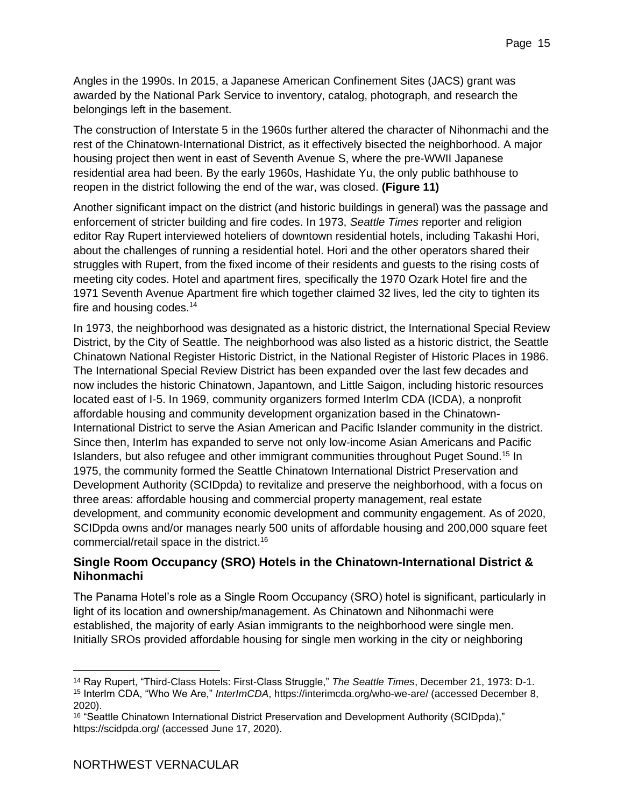Angles in the 1990s. In 2015, a Japanese American Confinement Sites (JACS) grant was awarded by the National Park Service to inventory, catalog, photograph, and research the belongings left in the basement.

The construction of Interstate 5 in the 1960s further altered the character of Nihonmachi and the rest of the Chinatown-International District, as it effectively bisected the neighborhood. A major housing project then went in east of Seventh Avenue S, where the pre-WWII Japanese residential area had been. By the early 1960s, Hashidate Yu, the only public bathhouse to reopen in the district following the end of the war, was closed. **(Figure 11)**

Another significant impact on the district (and historic buildings in general) was the passage and enforcement of stricter building and fire codes. In 1973, *Seattle Times* reporter and religion editor Ray Rupert interviewed hoteliers of downtown residential hotels, including Takashi Hori, about the challenges of running a residential hotel. Hori and the other operators shared their struggles with Rupert, from the fixed income of their residents and guests to the rising costs of meeting city codes. Hotel and apartment fires, specifically the 1970 Ozark Hotel fire and the 1971 Seventh Avenue Apartment fire which together claimed 32 lives, led the city to tighten its fire and housing codes.<sup>14</sup>

In 1973, the neighborhood was designated as a historic district, the International Special Review District, by the City of Seattle. The neighborhood was also listed as a historic district, the Seattle Chinatown National Register Historic District, in the National Register of Historic Places in 1986. The International Special Review District has been expanded over the last few decades and now includes the historic Chinatown, Japantown, and Little Saigon, including historic resources located east of I-5. In 1969, community organizers formed InterIm CDA (ICDA), a nonprofit affordable housing and community development organization based in the Chinatown-International District to serve the Asian American and Pacific Islander community in the district. Since then, InterIm has expanded to serve not only low-income Asian Americans and Pacific Islanders, but also refugee and other immigrant communities throughout Puget Sound.<sup>15</sup> In 1975, the community formed the Seattle Chinatown International District Preservation and Development Authority (SCIDpda) to revitalize and preserve the neighborhood, with a focus on three areas: affordable housing and commercial property management, real estate development, and community economic development and community engagement. As of 2020, SCIDpda owns and/or manages nearly 500 units of affordable housing and 200,000 square feet commercial/retail space in the district.<sup>16</sup>

#### **Single Room Occupancy (SRO) Hotels in the Chinatown-International District & Nihonmachi**

The Panama Hotel's role as a Single Room Occupancy (SRO) hotel is significant, particularly in light of its location and ownership/management. As Chinatown and Nihonmachi were established, the majority of early Asian immigrants to the neighborhood were single men. Initially SROs provided affordable housing for single men working in the city or neighboring

<sup>14</sup> Ray Rupert, "Third-Class Hotels: First-Class Struggle," *The Seattle Times*, December 21, 1973: D-1. <sup>15</sup> InterIm CDA, "Who We Are," *InterImCDA*, https://interimcda.org/who-we-are/ (accessed December 8, 2020).

<sup>&</sup>lt;sup>16</sup> "Seattle Chinatown International District Preservation and Development Authority (SCIDpda)," <https://scidpda.org/> (accessed June 17, 2020).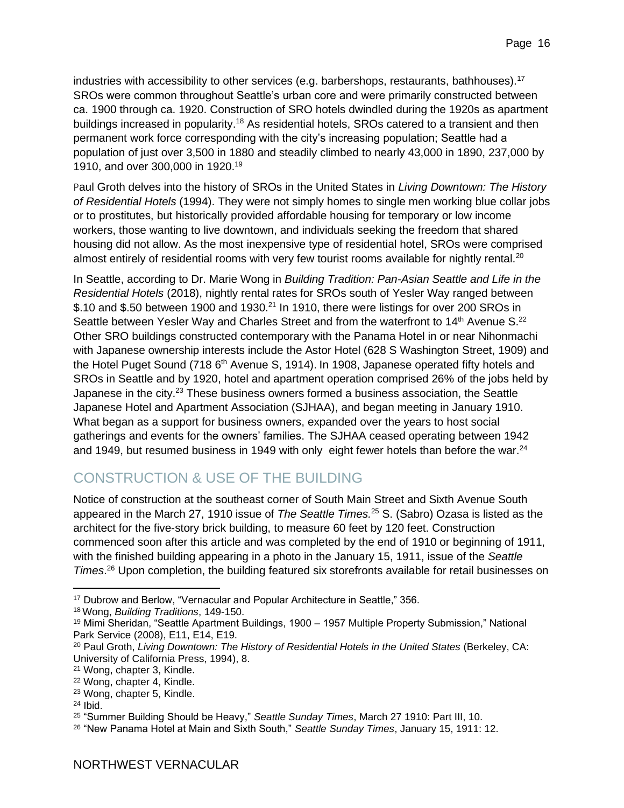industries with accessibility to other services (e.g. barbershops, restaurants, bathhouses).<sup>17</sup> SROs were common throughout Seattle's urban core and were primarily constructed between ca. 1900 through ca. 1920. Construction of SRO hotels dwindled during the 1920s as apartment buildings increased in popularity.<sup>18</sup> As residential hotels, SROs catered to a transient and then permanent work force corresponding with the city's increasing population; Seattle had a population of just over 3,500 in 1880 and steadily climbed to nearly 43,000 in 1890, 237,000 by 1910, and over 300,000 in 1920.<sup>19</sup>

Paul Groth delves into the history of SROs in the United States in *Living Downtown: The History of Residential Hotels* (1994). They were not simply homes to single men working blue collar jobs or to prostitutes, but historically provided affordable housing for temporary or low income workers, those wanting to live downtown, and individuals seeking the freedom that shared housing did not allow. As the most inexpensive type of residential hotel, SROs were comprised almost entirely of residential rooms with very few tourist rooms available for nightly rental.<sup>20</sup>

In Seattle, according to Dr. Marie Wong in *Building Tradition: Pan-Asian Seattle and Life in the Residential Hotels* (2018), nightly rental rates for SROs south of Yesler Way ranged between \$.10 and \$.50 between 1900 and 1930.<sup>21</sup> In 1910, there were listings for over 200 SROs in Seattle between Yesler Way and Charles Street and from the waterfront to 14<sup>th</sup> Avenue S.<sup>22</sup> Other SRO buildings constructed contemporary with the Panama Hotel in or near Nihonmachi with Japanese ownership interests include the Astor Hotel (628 S Washington Street, 1909) and the Hotel Puget Sound (718 6<sup>th</sup> Avenue S, 1914). In 1908, Japanese operated fifty hotels and SROs in Seattle and by 1920, hotel and apartment operation comprised 26% of the jobs held by Japanese in the city.<sup>23</sup> These business owners formed a business association, the Seattle Japanese Hotel and Apartment Association (SJHAA), and began meeting in January 1910. What began as a support for business owners, expanded over the years to host social gatherings and events for the owners' families. The SJHAA ceased operating between 1942 and 1949, but resumed business in 1949 with only eight fewer hotels than before the war.<sup>24</sup>

### <span id="page-15-0"></span>CONSTRUCTION & USE OF THE BUILDING

Notice of construction at the southeast corner of South Main Street and Sixth Avenue South appeared in the March 27, 1910 issue of *The Seattle Times.* <sup>25</sup> S. (Sabro) Ozasa is listed as the architect for the five-story brick building, to measure 60 feet by 120 feet. Construction commenced soon after this article and was completed by the end of 1910 or beginning of 1911, with the finished building appearing in a photo in the January 15, 1911, issue of the *Seattle Times*. <sup>26</sup> Upon completion, the building featured six storefronts available for retail businesses on

<sup>17</sup> Dubrow and Berlow, "Vernacular and Popular Architecture in Seattle," 356.

<sup>18</sup> Wong, *Building Traditions*, 149-150.

<sup>19</sup> Mimi Sheridan, "Seattle Apartment Buildings, 1900 – 1957 Multiple Property Submission," National Park Service (2008), E11, E14, E19.

<sup>20</sup> Paul Groth, *Living Downtown: The History of Residential Hotels in the United States* (Berkeley, CA: University of California Press, 1994), 8.

<sup>21</sup> Wong, chapter 3, Kindle.

<sup>22</sup> Wong, chapter 4, Kindle.

<sup>23</sup> Wong, chapter 5, Kindle.

 $24$  Ibid.

<sup>25</sup> "Summer Building Should be Heavy," *Seattle Sunday Times*, March 27 1910: Part III, 10.

<sup>26</sup> "New Panama Hotel at Main and Sixth South," *Seattle Sunday Times*, January 15, 1911: 12.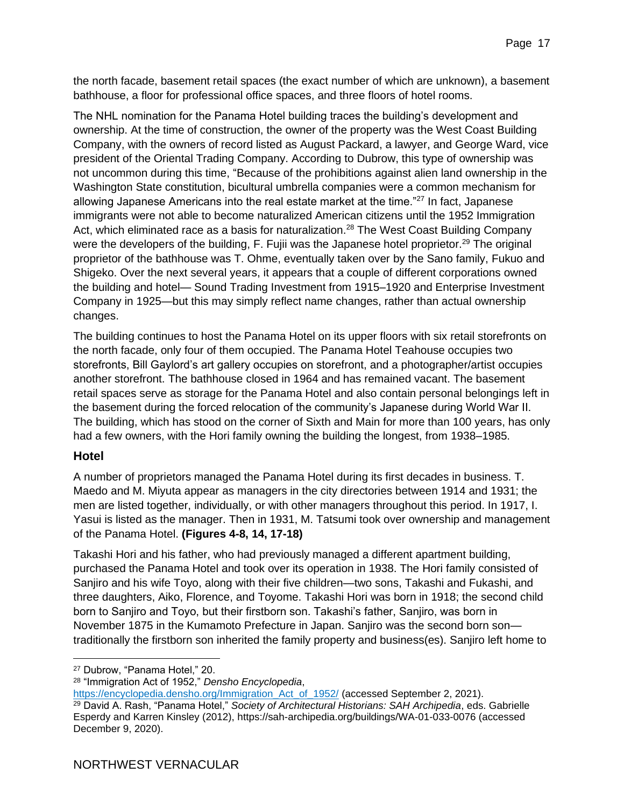the north facade, basement retail spaces (the exact number of which are unknown), a basement bathhouse, a floor for professional office spaces, and three floors of hotel rooms.

The NHL nomination for the Panama Hotel building traces the building's development and ownership. At the time of construction, the owner of the property was the West Coast Building Company, with the owners of record listed as August Packard, a lawyer, and George Ward, vice president of the Oriental Trading Company. According to Dubrow, this type of ownership was not uncommon during this time, "Because of the prohibitions against alien land ownership in the Washington State constitution, bicultural umbrella companies were a common mechanism for allowing Japanese Americans into the real estate market at the time."<sup>27</sup> In fact, Japanese immigrants were not able to become naturalized American citizens until the 1952 Immigration Act, which eliminated race as a basis for naturalization.<sup>28</sup> The West Coast Building Company were the developers of the building, F. Fujii was the Japanese hotel proprietor.<sup>29</sup> The original proprietor of the bathhouse was T. Ohme, eventually taken over by the Sano family, Fukuo and Shigeko. Over the next several years, it appears that a couple of different corporations owned the building and hotel— Sound Trading Investment from 1915–1920 and Enterprise Investment Company in 1925—but this may simply reflect name changes, rather than actual ownership changes.

The building continues to host the Panama Hotel on its upper floors with six retail storefronts on the north facade, only four of them occupied. The Panama Hotel Teahouse occupies two storefronts, Bill Gaylord's art gallery occupies on storefront, and a photographer/artist occupies another storefront. The bathhouse closed in 1964 and has remained vacant. The basement retail spaces serve as storage for the Panama Hotel and also contain personal belongings left in the basement during the forced relocation of the community's Japanese during World War II. The building, which has stood on the corner of Sixth and Main for more than 100 years, has only had a few owners, with the Hori family owning the building the longest, from 1938–1985.

#### **Hotel**

A number of proprietors managed the Panama Hotel during its first decades in business. T. Maedo and M. Miyuta appear as managers in the city directories between 1914 and 1931; the men are listed together, individually, or with other managers throughout this period. In 1917, I. Yasui is listed as the manager. Then in 1931, M. Tatsumi took over ownership and management of the Panama Hotel. **(Figures 4-8, 14, 17-18)**

Takashi Hori and his father, who had previously managed a different apartment building, purchased the Panama Hotel and took over its operation in 1938. The Hori family consisted of Sanjiro and his wife Toyo, along with their five children—two sons, Takashi and Fukashi, and three daughters, Aiko, Florence, and Toyome. Takashi Hori was born in 1918; the second child born to Sanjiro and Toyo, but their firstborn son. Takashi's father, Sanjiro, was born in November 1875 in the Kumamoto Prefecture in Japan. Sanjiro was the second born son traditionally the firstborn son inherited the family property and business(es). Sanjiro left home to

<sup>27</sup> Dubrow, "Panama Hotel," 20.

<sup>28</sup> "Immigration Act of 1952," *Densho Encyclopedia*,

[https://encyclopedia.densho.org/Immigration\\_Act\\_of\\_1952/](https://encyclopedia.densho.org/Immigration_Act_of_1952/) (accessed September 2, 2021). <sup>29</sup> David A. Rash, "Panama Hotel," *Society of Architectural Historians: SAH Archipedia*, eds. Gabrielle Esperdy and Karren Kinsley (2012), https://sah-archipedia.org/buildings/WA-01-033-0076 (accessed December 9, 2020).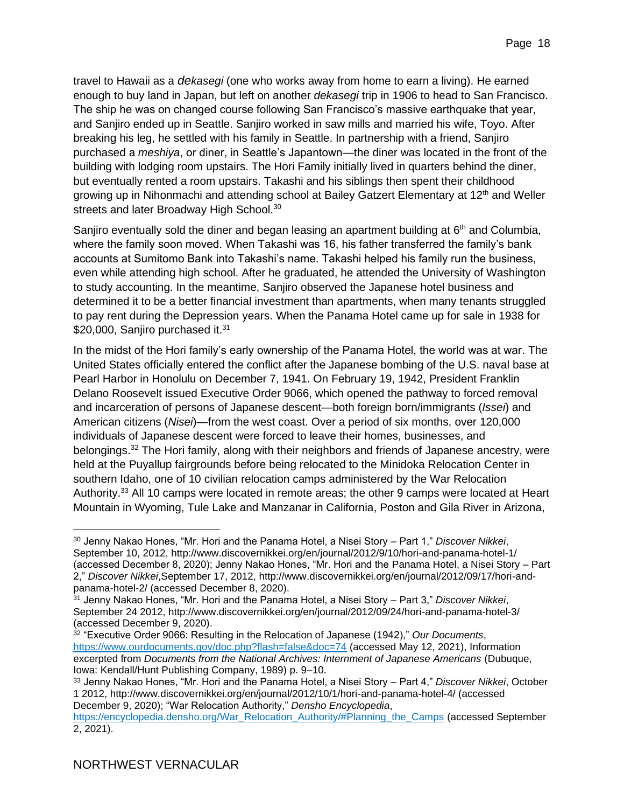travel to Hawaii as a *dekasegi* (one who works away from home to earn a living). He earned enough to buy land in Japan, but left on another *dekasegi* trip in 1906 to head to San Francisco. The ship he was on changed course following San Francisco's massive earthquake that year, and Sanjiro ended up in Seattle. Sanjiro worked in saw mills and married his wife, Toyo. After breaking his leg, he settled with his family in Seattle. In partnership with a friend, Sanjiro purchased a *meshiya*, or diner, in Seattle's Japantown—the diner was located in the front of the building with lodging room upstairs. The Hori Family initially lived in quarters behind the diner, but eventually rented a room upstairs. Takashi and his siblings then spent their childhood growing up in Nihonmachi and attending school at Bailey Gatzert Elementary at 12<sup>th</sup> and Weller streets and later Broadway High School.<sup>30</sup>

Sanjiro eventually sold the diner and began leasing an apartment building at 6<sup>th</sup> and Columbia, where the family soon moved. When Takashi was 16, his father transferred the family's bank accounts at Sumitomo Bank into Takashi's name. Takashi helped his family run the business, even while attending high school. After he graduated, he attended the University of Washington to study accounting. In the meantime, Sanjiro observed the Japanese hotel business and determined it to be a better financial investment than apartments, when many tenants struggled to pay rent during the Depression years. When the Panama Hotel came up for sale in 1938 for \$20,000, Sanjiro purchased it.<sup>31</sup>

In the midst of the Hori family's early ownership of the Panama Hotel, the world was at war. The United States officially entered the conflict after the Japanese bombing of the U.S. naval base at Pearl Harbor in Honolulu on December 7, 1941. On February 19, 1942, President Franklin Delano Roosevelt issued Executive Order 9066, which opened the pathway to forced removal and incarceration of persons of Japanese descent—both foreign born/immigrants (*Issei*) and American citizens (*Nisei*)—from the west coast. Over a period of six months, over 120,000 individuals of Japanese descent were forced to leave their homes, businesses, and belongings.<sup>32</sup> The Hori family, along with their neighbors and friends of Japanese ancestry, were held at the Puyallup fairgrounds before being relocated to the Minidoka Relocation Center in southern Idaho, one of 10 civilian relocation camps administered by the War Relocation Authority.<sup>33</sup> All 10 camps were located in remote areas; the other 9 camps were located at Heart Mountain in Wyoming, Tule Lake and Manzanar in California, Poston and Gila River in Arizona,

<sup>30</sup> Jenny Nakao Hones, "Mr. Hori and the Panama Hotel, a Nisei Story – Part 1," *Discover Nikkei*, September 10, 2012, http://www.discovernikkei.org/en/journal/2012/9/10/hori-and-panama-hotel-1/ (accessed December 8, 2020); Jenny Nakao Hones, "Mr. Hori and the Panama Hotel, a Nisei Story – Part 2," *Discover Nikkei*,September 17, 2012, http://www.discovernikkei.org/en/journal/2012/09/17/hori-andpanama-hotel-2/ (accessed December 8, 2020).

<sup>31</sup> Jenny Nakao Hones, "Mr. Hori and the Panama Hotel, a Nisei Story – Part 3," *Discover Nikkei*, September 24 2012, http://www.discovernikkei.org/en/journal/2012/09/24/hori-and-panama-hotel-3/ (accessed December 9, 2020).

<sup>32</sup> "Executive Order 9066: Resulting in the Relocation of Japanese (1942)," *Our Documents*, <https://www.ourdocuments.gov/doc.php?flash=false&doc=74> (accessed May 12, 2021), Information excerpted from *Documents from the National Archives: Internment of Japanese Americans* (Dubuque, Iowa: Kendall/Hunt Publishing Company, 1989) p. 9–10.

<sup>33</sup> Jenny Nakao Hones, "Mr. Hori and the Panama Hotel, a Nisei Story – Part 4," *Discover Nikkei*, October 1 2012, http://www.discovernikkei.org/en/journal/2012/10/1/hori-and-panama-hotel-4/ (accessed December 9, 2020); "War Relocation Authority," *Densho Encyclopedia*,

[https://encyclopedia.densho.org/War\\_Relocation\\_Authority/#Planning\\_the\\_Camps](https://encyclopedia.densho.org/War_Relocation_Authority/#Planning_the_Camps) (accessed September 2, 2021).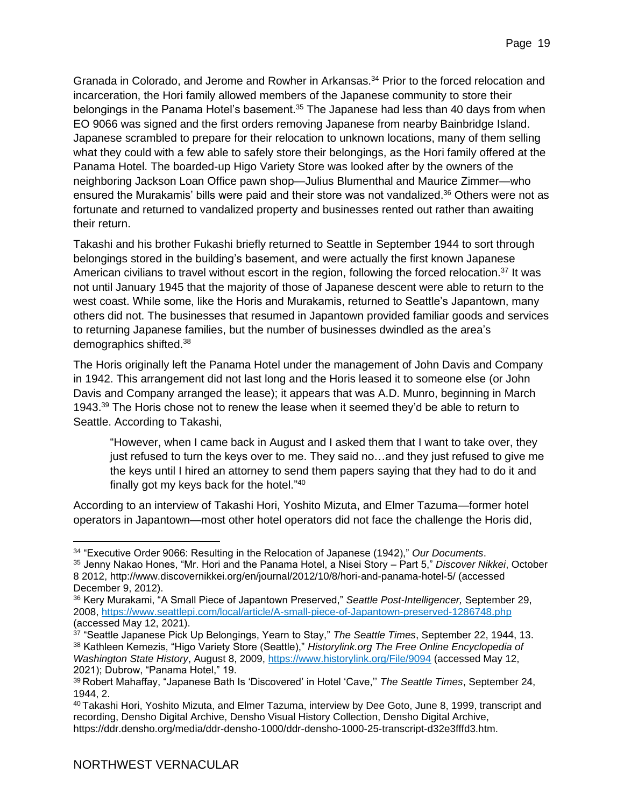Granada in Colorado, and Jerome and Rowher in Arkansas.<sup>34</sup> Prior to the forced relocation and incarceration, the Hori family allowed members of the Japanese community to store their belongings in the Panama Hotel's basement.<sup>35</sup> The Japanese had less than 40 days from when EO 9066 was signed and the first orders removing Japanese from nearby Bainbridge Island. Japanese scrambled to prepare for their relocation to unknown locations, many of them selling what they could with a few able to safely store their belongings, as the Hori family offered at the Panama Hotel. The boarded-up Higo Variety Store was looked after by the owners of the neighboring Jackson Loan Office pawn shop—Julius Blumenthal and Maurice Zimmer—who ensured the Murakamis' bills were paid and their store was not vandalized.<sup>36</sup> Others were not as fortunate and returned to vandalized property and businesses rented out rather than awaiting their return.

Takashi and his brother Fukashi briefly returned to Seattle in September 1944 to sort through belongings stored in the building's basement, and were actually the first known Japanese American civilians to travel without escort in the region, following the forced relocation.<sup>37</sup> It was not until January 1945 that the majority of those of Japanese descent were able to return to the west coast. While some, like the Horis and Murakamis, returned to Seattle's Japantown, many others did not. The businesses that resumed in Japantown provided familiar goods and services to returning Japanese families, but the number of businesses dwindled as the area's demographics shifted.<sup>38</sup>

The Horis originally left the Panama Hotel under the management of John Davis and Company in 1942. This arrangement did not last long and the Horis leased it to someone else (or John Davis and Company arranged the lease); it appears that was A.D. Munro, beginning in March 1943.<sup>39</sup> The Horis chose not to renew the lease when it seemed they'd be able to return to Seattle. According to Takashi,

"However, when I came back in August and I asked them that I want to take over, they just refused to turn the keys over to me. They said no…and they just refused to give me the keys until I hired an attorney to send them papers saying that they had to do it and finally got my keys back for the hotel."<sup>40</sup>

According to an interview of Takashi Hori, Yoshito Mizuta, and Elmer Tazuma—former hotel operators in Japantown—most other hotel operators did not face the challenge the Horis did,

<sup>34</sup> "Executive Order 9066: Resulting in the Relocation of Japanese (1942)," *Our Documents*.

<sup>35</sup> Jenny Nakao Hones, "Mr. Hori and the Panama Hotel, a Nisei Story – Part 5," *Discover Nikkei*, October 8 2012, http://www.discovernikkei.org/en/journal/2012/10/8/hori-and-panama-hotel-5/ (accessed December 9, 2012).

<sup>36</sup> Kery Murakami, "A Small Piece of Japantown Preserved," *Seattle Post-Intelligencer,* September 29, 2008,<https://www.seattlepi.com/local/article/A-small-piece-of-Japantown-preserved-1286748.php> (accessed May 12, 2021).

<sup>37</sup> "Seattle Japanese Pick Up Belongings, Yearn to Stay," *The Seattle Times*, September 22, 1944, 13. <sup>38</sup> Kathleen Kemezis, "Higo Variety Store (Seattle)," *Historylink.org The Free Online Encyclopedia of Washington State History*, August 8, 2009,<https://www.historylink.org/File/9094> (accessed May 12, 2021); Dubrow, "Panama Hotel," 19.

<sup>39</sup> Robert Mahaffay, "Japanese Bath Is 'Discovered' in Hotel 'Cave,'' *The Seattle Times*, September 24, 1944, 2.

<sup>40</sup> Takashi Hori, Yoshito Mizuta, and Elmer Tazuma, interview by Dee Goto, June 8, 1999, transcript and recording, Densho Digital Archive, Densho Visual History Collection, Densho Digital Archive, [https://ddr.densho.org/media/ddr-densho-1000/ddr-densho-1000-25-transcript-d32e3fffd3.htm.](https://ddr.densho.org/media/ddr-densho-1000/ddr-densho-1000-25-transcript-d32e3fffd3.htm)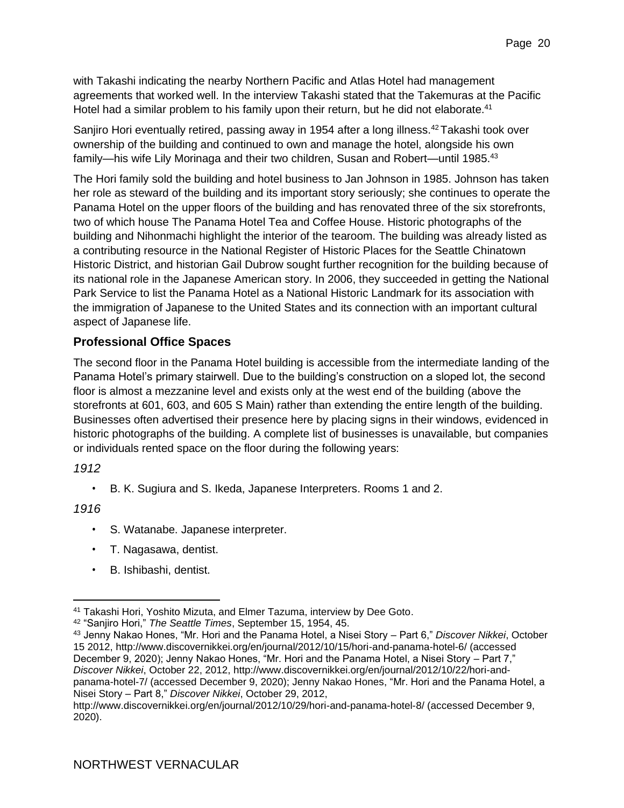with Takashi indicating the nearby Northern Pacific and Atlas Hotel had management agreements that worked well. In the interview Takashi stated that the Takemuras at the Pacific Hotel had a similar problem to his family upon their return, but he did not elaborate.<sup>41</sup>

Sanjiro Hori eventually retired, passing away in 1954 after a long illness.<sup>42</sup>Takashi took over ownership of the building and continued to own and manage the hotel, alongside his own family—his wife Lily Morinaga and their two children, Susan and Robert—until 1985.<sup>43</sup>

The Hori family sold the building and hotel business to Jan Johnson in 1985. Johnson has taken her role as steward of the building and its important story seriously; she continues to operate the Panama Hotel on the upper floors of the building and has renovated three of the six storefronts, two of which house The Panama Hotel Tea and Coffee House. Historic photographs of the building and Nihonmachi highlight the interior of the tearoom. The building was already listed as a contributing resource in the National Register of Historic Places for the Seattle Chinatown Historic District, and historian Gail Dubrow sought further recognition for the building because of its national role in the Japanese American story. In 2006, they succeeded in getting the National Park Service to list the Panama Hotel as a National Historic Landmark for its association with the immigration of Japanese to the United States and its connection with an important cultural aspect of Japanese life.

#### **Professional Office Spaces**

The second floor in the Panama Hotel building is accessible from the intermediate landing of the Panama Hotel's primary stairwell. Due to the building's construction on a sloped lot, the second floor is almost a mezzanine level and exists only at the west end of the building (above the storefronts at 601, 603, and 605 S Main) rather than extending the entire length of the building. Businesses often advertised their presence here by placing signs in their windows, evidenced in historic photographs of the building. A complete list of businesses is unavailable, but companies or individuals rented space on the floor during the following years:

*1912*

• B. K. Sugiura and S. Ikeda, Japanese Interpreters. Rooms 1 and 2.

*1916*

- S. Watanabe. Japanese interpreter.
- T. Nagasawa, dentist.
- B. Ishibashi, dentist.

<sup>41</sup> Takashi Hori, Yoshito Mizuta, and Elmer Tazuma, interview by Dee Goto.

<sup>42</sup> "Sanjiro Hori," *The Seattle Times*, September 15, 1954, 45.

<sup>43</sup> Jenny Nakao Hones, "Mr. Hori and the Panama Hotel, a Nisei Story – Part 6," *Discover Nikkei*, October 15 2012, http://www.discovernikkei.org/en/journal/2012/10/15/hori-and-panama-hotel-6/ (accessed December 9, 2020); Jenny Nakao Hones, "Mr. Hori and the Panama Hotel, a Nisei Story – Part 7," *Discover Nikkei*, October 22, 2012, http://www.discovernikkei.org/en/journal/2012/10/22/hori-andpanama-hotel-7/ (accessed December 9, 2020); Jenny Nakao Hones, "Mr. Hori and the Panama Hotel, a Nisei Story – Part 8," *Discover Nikkei*, October 29, 2012,

http://www.discovernikkei.org/en/journal/2012/10/29/hori-and-panama-hotel-8/ (accessed December 9, 2020).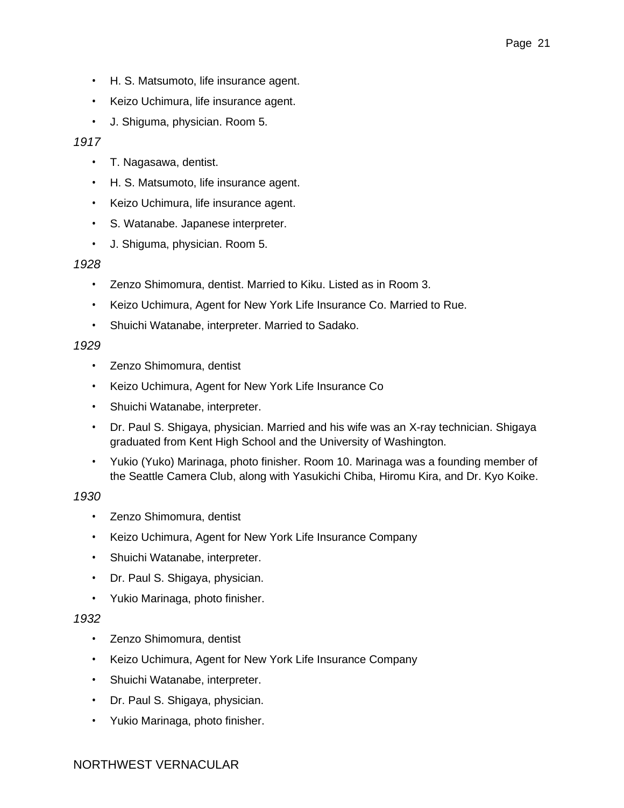- H. S. Matsumoto, life insurance agent.
- Keizo Uchimura, life insurance agent.
- J. Shiguma, physician. Room 5.

#### *1917*

- T. Nagasawa, dentist.
- H. S. Matsumoto, life insurance agent.
- Keizo Uchimura, life insurance agent.
- S. Watanabe. Japanese interpreter.
- J. Shiguma, physician. Room 5.

#### *1928*

- Zenzo Shimomura, dentist. Married to Kiku. Listed as in Room 3.
- Keizo Uchimura, Agent for New York Life Insurance Co. Married to Rue.
- Shuichi Watanabe, interpreter. Married to Sadako.

#### *1929*

- Zenzo Shimomura, dentist
- Keizo Uchimura, Agent for New York Life Insurance Co
- Shuichi Watanabe, interpreter.
- Dr. Paul S. Shigaya, physician. Married and his wife was an X-ray technician. Shigaya graduated from Kent High School and the University of Washington.
- Yukio (Yuko) Marinaga, photo finisher. Room 10. Marinaga was a founding member of the Seattle Camera Club, along with Yasukichi Chiba, Hiromu Kira, and Dr. Kyo Koike.

#### *1930*

- Zenzo Shimomura, dentist
- Keizo Uchimura, Agent for New York Life Insurance Company
- Shuichi Watanabe, interpreter.
- Dr. Paul S. Shigaya, physician.
- Yukio Marinaga, photo finisher.

#### *1932*

- Zenzo Shimomura, dentist
- Keizo Uchimura, Agent for New York Life Insurance Company
- Shuichi Watanabe, interpreter.
- Dr. Paul S. Shigaya, physician.
- Yukio Marinaga, photo finisher.

#### NORTHWEST VERNACULAR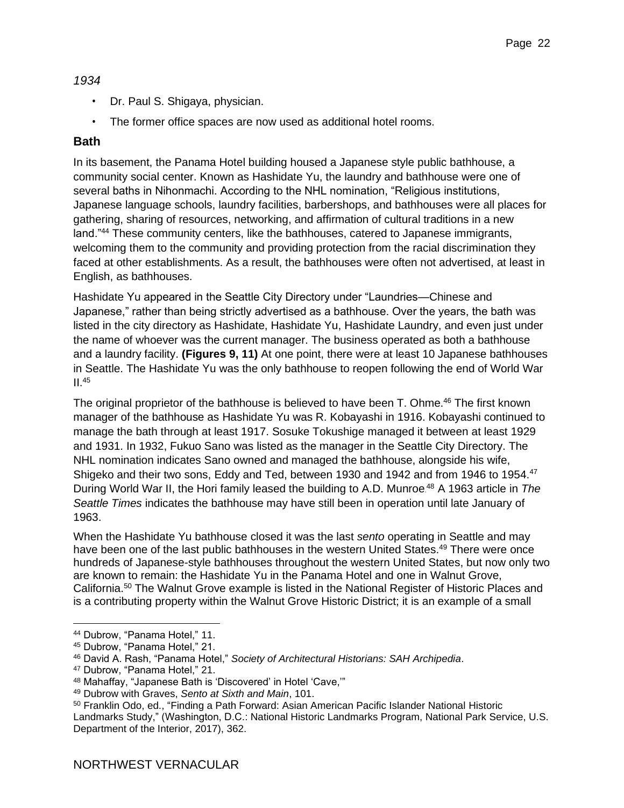#### *1934*

- Dr. Paul S. Shigaya, physician.
- The former office spaces are now used as additional hotel rooms.

#### **Bath**

In its basement, the Panama Hotel building housed a Japanese style public bathhouse, a community social center. Known as Hashidate Yu, the laundry and bathhouse were one of several baths in Nihonmachi. According to the NHL nomination, "Religious institutions, Japanese language schools, laundry facilities, barbershops, and bathhouses were all places for gathering, sharing of resources, networking, and affirmation of cultural traditions in a new land."<sup>44</sup> These community centers, like the bathhouses, catered to Japanese immigrants, welcoming them to the community and providing protection from the racial discrimination they faced at other establishments. As a result, the bathhouses were often not advertised, at least in English, as bathhouses.

Hashidate Yu appeared in the Seattle City Directory under "Laundries—Chinese and Japanese," rather than being strictly advertised as a bathhouse. Over the years, the bath was listed in the city directory as Hashidate, Hashidate Yu, Hashidate Laundry, and even just under the name of whoever was the current manager. The business operated as both a bathhouse and a laundry facility. **(Figures 9, 11)** At one point, there were at least 10 Japanese bathhouses in Seattle. The Hashidate Yu was the only bathhouse to reopen following the end of World War  $II.45$ 

The original proprietor of the bathhouse is believed to have been T. Ohme.<sup>46</sup> The first known manager of the bathhouse as Hashidate Yu was R. Kobayashi in 1916. Kobayashi continued to manage the bath through at least 1917. Sosuke Tokushige managed it between at least 1929 and 1931. In 1932, Fukuo Sano was listed as the manager in the Seattle City Directory. The NHL nomination indicates Sano owned and managed the bathhouse, alongside his wife, Shigeko and their two sons, Eddy and Ted, between 1930 and 1942 and from 1946 to 1954.<sup>47</sup> During World War II, the Hori family leased the building to A.D. Munroe. <sup>48</sup> A 1963 article in *The Seattle Times* indicates the bathhouse may have still been in operation until late January of 1963.

When the Hashidate Yu bathhouse closed it was the last *sento* operating in Seattle and may have been one of the last public bathhouses in the western United States.<sup>49</sup> There were once hundreds of Japanese-style bathhouses throughout the western United States, but now only two are known to remain: the Hashidate Yu in the Panama Hotel and one in Walnut Grove, California.<sup>50</sup> The Walnut Grove example is listed in the National Register of Historic Places and is a contributing property within the Walnut Grove Historic District; it is an example of a small

<sup>44</sup> Dubrow, "Panama Hotel," 11.

<sup>45</sup> Dubrow, "Panama Hotel," 21.

<sup>46</sup> David A. Rash, "Panama Hotel," *Society of Architectural Historians: SAH Archipedia*.

<sup>47</sup> Dubrow, "Panama Hotel," 21.

<sup>48</sup> Mahaffay, "Japanese Bath is 'Discovered' in Hotel 'Cave,'"

<sup>49</sup> Dubrow with Graves, *Sento at Sixth and Main*, 101.

<sup>50</sup> Franklin Odo, ed., "Finding a Path Forward: Asian American Pacific Islander National Historic Landmarks Study," (Washington, D.C.: National Historic Landmarks Program, National Park Service, U.S. Department of the Interior, 2017), 362.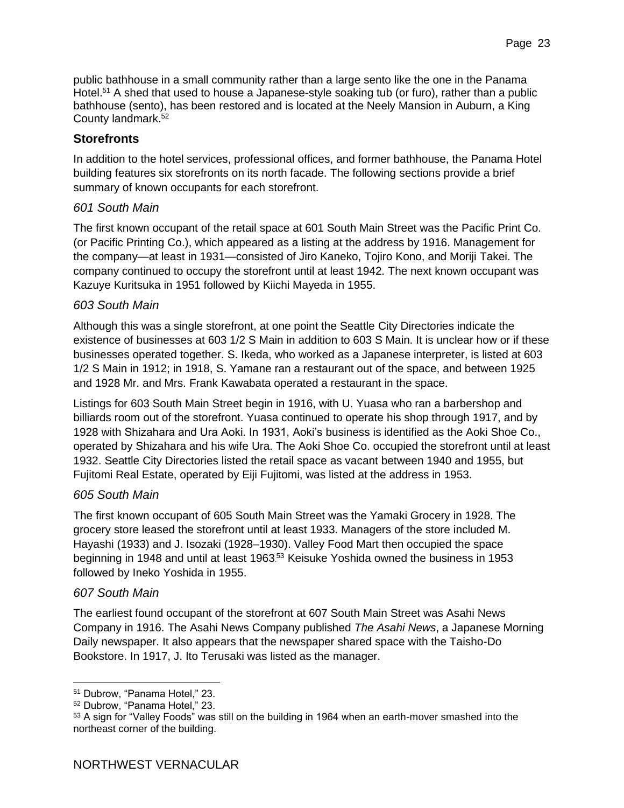public bathhouse in a small community rather than a large sento like the one in the Panama Hotel.<sup>51</sup> A shed that used to house a Japanese-style soaking tub (or furo), rather than a public bathhouse (sento), has been restored and is located at the Neely Mansion in Auburn, a King County landmark.<sup>52</sup>

#### **Storefronts**

In addition to the hotel services, professional offices, and former bathhouse, the Panama Hotel building features six storefronts on its north facade. The following sections provide a brief summary of known occupants for each storefront.

#### *601 South Main*

The first known occupant of the retail space at 601 South Main Street was the Pacific Print Co. (or Pacific Printing Co.), which appeared as a listing at the address by 1916. Management for the company—at least in 1931—consisted of Jiro Kaneko, Tojiro Kono, and Moriji Takei. The company continued to occupy the storefront until at least 1942. The next known occupant was Kazuye Kuritsuka in 1951 followed by Kiichi Mayeda in 1955.

#### *603 South Main*

Although this was a single storefront, at one point the Seattle City Directories indicate the existence of businesses at 603 1/2 S Main in addition to 603 S Main. It is unclear how or if these businesses operated together. S. Ikeda, who worked as a Japanese interpreter, is listed at 603 1/2 S Main in 1912; in 1918, S. Yamane ran a restaurant out of the space, and between 1925 and 1928 Mr. and Mrs. Frank Kawabata operated a restaurant in the space.

Listings for 603 South Main Street begin in 1916, with U. Yuasa who ran a barbershop and billiards room out of the storefront. Yuasa continued to operate his shop through 1917, and by 1928 with Shizahara and Ura Aoki. In 1931, Aoki's business is identified as the Aoki Shoe Co., operated by Shizahara and his wife Ura. The Aoki Shoe Co. occupied the storefront until at least 1932. Seattle City Directories listed the retail space as vacant between 1940 and 1955, but Fujitomi Real Estate, operated by Eiji Fujitomi, was listed at the address in 1953.

#### *605 South Main*

The first known occupant of 605 South Main Street was the Yamaki Grocery in 1928. The grocery store leased the storefront until at least 1933. Managers of the store included M. Hayashi (1933) and J. Isozaki (1928–1930). Valley Food Mart then occupied the space beginning in 1948 and until at least 1963.<sup>53</sup> Keisuke Yoshida owned the business in 1953 followed by Ineko Yoshida in 1955.

#### *607 South Main*

The earliest found occupant of the storefront at 607 South Main Street was Asahi News Company in 1916. The Asahi News Company published *The Asahi News*, a Japanese Morning Daily newspaper. It also appears that the newspaper shared space with the Taisho-Do Bookstore. In 1917, J. Ito Terusaki was listed as the manager.

<sup>51</sup> Dubrow, "Panama Hotel," 23.

<sup>52</sup> Dubrow, "Panama Hotel," 23.

<sup>53</sup> A sign for "Valley Foods" was still on the building in 1964 when an earth-mover smashed into the northeast corner of the building.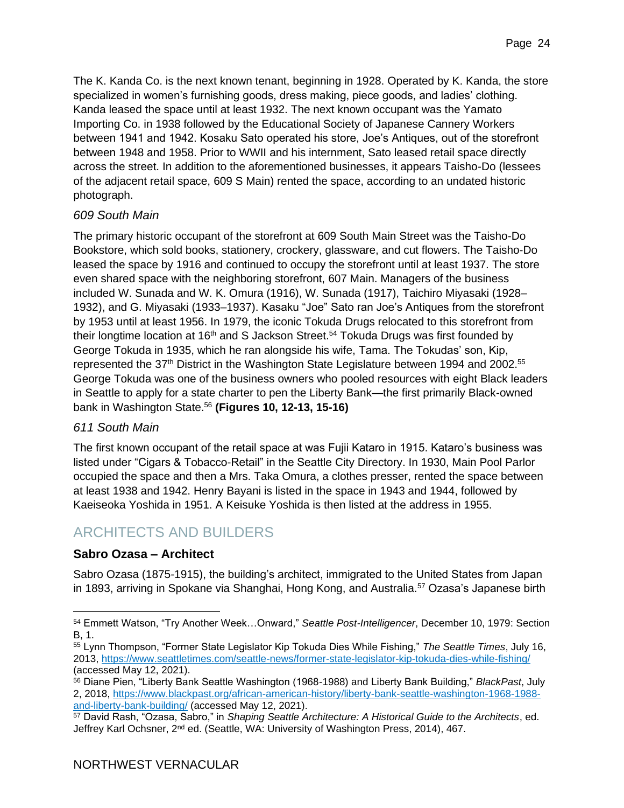The K. Kanda Co. is the next known tenant, beginning in 1928. Operated by K. Kanda, the store specialized in women's furnishing goods, dress making, piece goods, and ladies' clothing. Kanda leased the space until at least 1932. The next known occupant was the Yamato Importing Co. in 1938 followed by the Educational Society of Japanese Cannery Workers between 1941 and 1942. Kosaku Sato operated his store, Joe's Antiques, out of the storefront between 1948 and 1958. Prior to WWII and his internment, Sato leased retail space directly across the street. In addition to the aforementioned businesses, it appears Taisho-Do (lessees of the adjacent retail space, 609 S Main) rented the space, according to an undated historic photograph.

#### *609 South Main*

The primary historic occupant of the storefront at 609 South Main Street was the Taisho-Do Bookstore, which sold books, stationery, crockery, glassware, and cut flowers. The Taisho-Do leased the space by 1916 and continued to occupy the storefront until at least 1937. The store even shared space with the neighboring storefront, 607 Main. Managers of the business included W. Sunada and W. K. Omura (1916), W. Sunada (1917), Taichiro Miyasaki (1928– 1932), and G. Miyasaki (1933–1937). Kasaku "Joe" Sato ran Joe's Antiques from the storefront by 1953 until at least 1956. In 1979, the iconic Tokuda Drugs relocated to this storefront from their longtime location at 16<sup>th</sup> and S Jackson Street.<sup>54</sup> Tokuda Drugs was first founded by George Tokuda in 1935, which he ran alongside his wife, Tama. The Tokudas' son, Kip, represented the 37<sup>th</sup> District in the Washington State Legislature between 1994 and 2002.<sup>55</sup> George Tokuda was one of the business owners who pooled resources with eight Black leaders in Seattle to apply for a state charter to pen the Liberty Bank—the first primarily Black-owned bank in Washington State. <sup>56</sup> **(Figures 10, 12-13, 15-16)**

#### *611 South Main*

The first known occupant of the retail space at was Fujii Kataro in 1915. Kataro's business was listed under "Cigars & Tobacco-Retail" in the Seattle City Directory. In 1930, Main Pool Parlor occupied the space and then a Mrs. Taka Omura, a clothes presser, rented the space between at least 1938 and 1942. Henry Bayani is listed in the space in 1943 and 1944, followed by Kaeiseoka Yoshida in 1951. A Keisuke Yoshida is then listed at the address in 1955.

### <span id="page-23-0"></span>ARCHITECTS AND BUILDERS

#### **Sabro Ozasa – Architect**

Sabro Ozasa (1875-1915), the building's architect, immigrated to the United States from Japan in 1893, arriving in Spokane via Shanghai, Hong Kong, and Australia.<sup>57</sup> Ozasa's Japanese birth

<sup>54</sup> Emmett Watson, "Try Another Week…Onward," *Seattle Post-Intelligencer*, December 10, 1979: Section B, 1.

<sup>55</sup> Lynn Thompson, "Former State Legislator Kip Tokuda Dies While Fishing," *The Seattle Times*, July 16, 2013,<https://www.seattletimes.com/seattle-news/former-state-legislator-kip-tokuda-dies-while-fishing/> (accessed May 12, 2021).

<sup>56</sup> Diane Pien, "Liberty Bank Seattle Washington (1968-1988) and Liberty Bank Building," *BlackPast*, July 2, 2018, [https://www.blackpast.org/african-american-history/liberty-bank-seattle-washington-1968-1988](https://www.blackpast.org/african-american-history/liberty-bank-seattle-washington-1968-1988-and-liberty-bank-building/) [and-liberty-bank-building/](https://www.blackpast.org/african-american-history/liberty-bank-seattle-washington-1968-1988-and-liberty-bank-building/) (accessed May 12, 2021).

<sup>57</sup> David Rash, "Ozasa, Sabro," in *Shaping Seattle Architecture: A Historical Guide to the Architects*, ed. Jeffrey Karl Ochsner, 2<sup>nd</sup> ed. (Seattle, WA: University of Washington Press, 2014), 467.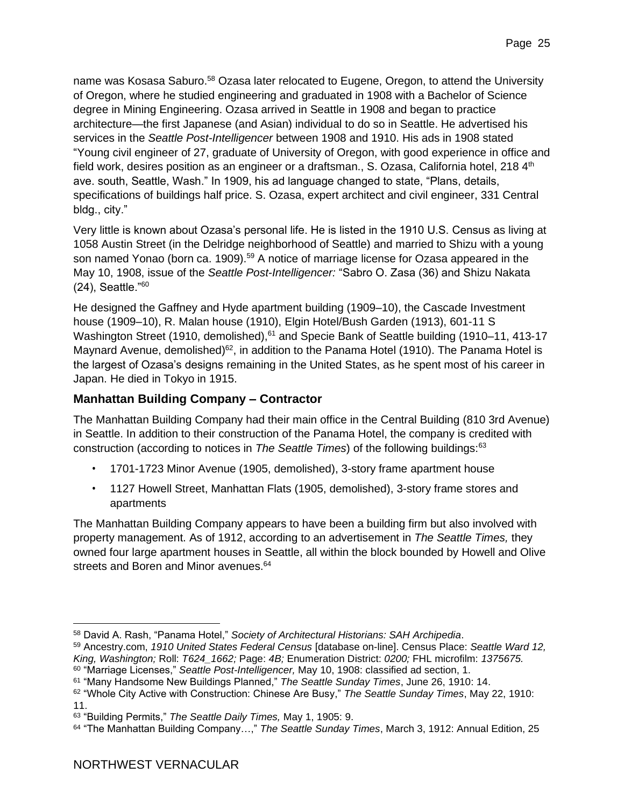name was Kosasa Saburo.<sup>58</sup> Ozasa later relocated to Eugene, Oregon, to attend the University of Oregon, where he studied engineering and graduated in 1908 with a Bachelor of Science degree in Mining Engineering. Ozasa arrived in Seattle in 1908 and began to practice architecture—the first Japanese (and Asian) individual to do so in Seattle. He advertised his services in the *Seattle Post-Intelligencer* between 1908 and 1910. His ads in 1908 stated "Young civil engineer of 27, graduate of University of Oregon, with good experience in office and field work, desires position as an engineer or a draftsman., S. Ozasa, California hotel, 218  $4<sup>th</sup>$ ave. south, Seattle, Wash." In 1909, his ad language changed to state, "Plans, details, specifications of buildings half price. S. Ozasa, expert architect and civil engineer, 331 Central bldg., city."

Very little is known about Ozasa's personal life. He is listed in the 1910 U.S. Census as living at 1058 Austin Street (in the Delridge neighborhood of Seattle) and married to Shizu with a young son named Yonao (born ca. 1909).<sup>59</sup> A notice of marriage license for Ozasa appeared in the May 10, 1908, issue of the *Seattle Post-Intelligencer:* "Sabro O. Zasa (36) and Shizu Nakata (24), Seattle."<sup>60</sup>

He designed the Gaffney and Hyde apartment building (1909–10), the Cascade Investment house (1909–10), R. Malan house (1910), Elgin Hotel/Bush Garden (1913), 601-11 S Washington Street (1910, demolished),<sup>61</sup> and Specie Bank of Seattle building (1910–11, 413-17 Maynard Avenue, demolished)<sup>62</sup>, in addition to the Panama Hotel (1910). The Panama Hotel is the largest of Ozasa's designs remaining in the United States, as he spent most of his career in Japan. He died in Tokyo in 1915.

#### **Manhattan Building Company – Contractor**

The Manhattan Building Company had their main office in the Central Building (810 3rd Avenue) in Seattle. In addition to their construction of the Panama Hotel, the company is credited with construction (according to notices in *The Seattle Times*) of the following buildings:<sup>63</sup>

- 1701-1723 Minor Avenue (1905, demolished), 3-story frame apartment house
- 1127 Howell Street, Manhattan Flats (1905, demolished), 3-story frame stores and apartments

The Manhattan Building Company appears to have been a building firm but also involved with property management. As of 1912, according to an advertisement in *The Seattle Times,* they owned four large apartment houses in Seattle, all within the block bounded by Howell and Olive streets and Boren and Minor avenues.<sup>64</sup>

<sup>58</sup> David A. Rash, "Panama Hotel," *Society of Architectural Historians: SAH Archipedia*.

<sup>59</sup> Ancestry.com, *1910 United States Federal Census* [database on-line]. Census Place: *Seattle Ward 12, King, Washington;* Roll: *T624\_1662;* Page: *4B;* Enumeration District: *0200;* FHL microfilm: *1375675.* <sup>60</sup> "Marriage Licenses," *Seattle Post-Intelligencer,* May 10, 1908: classified ad section, 1.

<sup>61</sup> "Many Handsome New Buildings Planned," *The Seattle Sunday Times*, June 26, 1910: 14.

<sup>62</sup> "Whole City Active with Construction: Chinese Are Busy," *The Seattle Sunday Times*, May 22, 1910: 11.

<sup>63</sup> "Building Permits," *The Seattle Daily Times,* May 1, 1905: 9.

<sup>64</sup> "The Manhattan Building Company…," *The Seattle Sunday Times*, March 3, 1912: Annual Edition, 25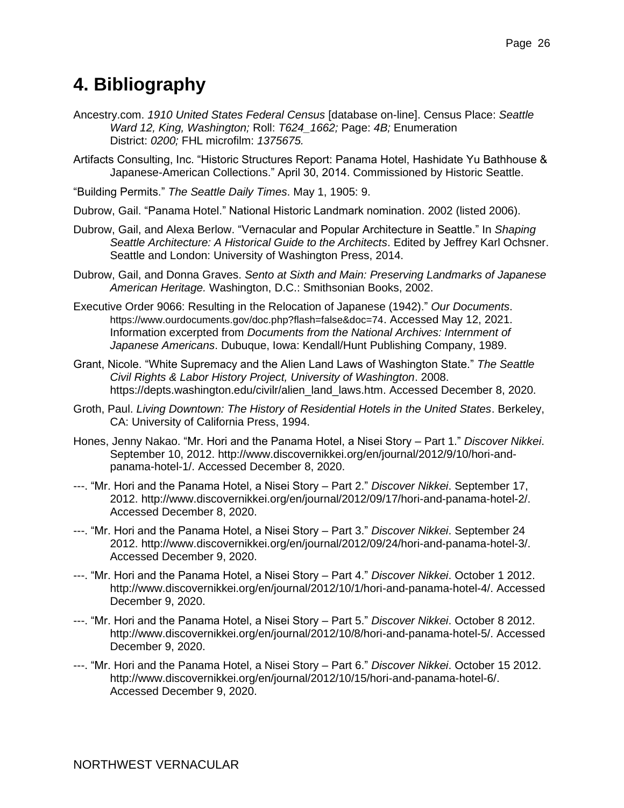# <span id="page-25-0"></span>**4. Bibliography**

- Ancestry.com. *1910 United States Federal Census* [database on-line]. Census Place: *Seattle Ward 12, King, Washington;* Roll: *T624\_1662;* Page: *4B;* Enumeration District: *0200;* FHL microfilm: *1375675.*
- Artifacts Consulting, Inc. "Historic Structures Report: Panama Hotel, Hashidate Yu Bathhouse & Japanese-American Collections." April 30, 2014. Commissioned by Historic Seattle.
- "Building Permits." *The Seattle Daily Times*. May 1, 1905: 9.
- Dubrow, Gail. "Panama Hotel." National Historic Landmark nomination. 2002 (listed 2006).
- Dubrow, Gail, and Alexa Berlow. "Vernacular and Popular Architecture in Seattle." In *Shaping Seattle Architecture: A Historical Guide to the Architects*. Edited by Jeffrey Karl Ochsner. Seattle and London: University of Washington Press, 2014.
- Dubrow, Gail, and Donna Graves. *Sento at Sixth and Main: Preserving Landmarks of Japanese American Heritage.* Washington, D.C.: Smithsonian Books, 2002.
- Executive Order 9066: Resulting in the Relocation of Japanese (1942)." *Our Documents*. <https://www.ourdocuments.gov/doc.php?flash=false&doc=74>. Accessed May 12, 2021. Information excerpted from *Documents from the National Archives: Internment of Japanese Americans*. Dubuque, Iowa: Kendall/Hunt Publishing Company, 1989.
- Grant, Nicole. "White Supremacy and the Alien Land Laws of Washington State." *The Seattle Civil Rights & Labor History Project, University of Washington*. 2008. https://depts.washington.edu/civilr/alien\_land\_laws.htm. Accessed December 8, 2020.
- Groth, Paul. *Living Downtown: The History of Residential Hotels in the United States*. Berkeley, CA: University of California Press, 1994.
- Hones, Jenny Nakao. "Mr. Hori and the Panama Hotel, a Nisei Story Part 1." *Discover Nikkei*. September 10, 2012. http://www.discovernikkei.org/en/journal/2012/9/10/hori-andpanama-hotel-1/. Accessed December 8, 2020.
- ---. "Mr. Hori and the Panama Hotel, a Nisei Story Part 2." *Discover Nikkei*. September 17, 2012. http://www.discovernikkei.org/en/journal/2012/09/17/hori-and-panama-hotel-2/. Accessed December 8, 2020.
- ---. "Mr. Hori and the Panama Hotel, a Nisei Story Part 3." *Discover Nikkei*. September 24 2012. http://www.discovernikkei.org/en/journal/2012/09/24/hori-and-panama-hotel-3/. Accessed December 9, 2020.
- ---. "Mr. Hori and the Panama Hotel, a Nisei Story Part 4." *Discover Nikkei*. October 1 2012. http://www.discovernikkei.org/en/journal/2012/10/1/hori-and-panama-hotel-4/. Accessed December 9, 2020.
- ---. "Mr. Hori and the Panama Hotel, a Nisei Story Part 5." *Discover Nikkei*. October 8 2012. http://www.discovernikkei.org/en/journal/2012/10/8/hori-and-panama-hotel-5/. Accessed December 9, 2020.
- ---. "Mr. Hori and the Panama Hotel, a Nisei Story Part 6." *Discover Nikkei*. October 15 2012. http://www.discovernikkei.org/en/journal/2012/10/15/hori-and-panama-hotel-6/. Accessed December 9, 2020.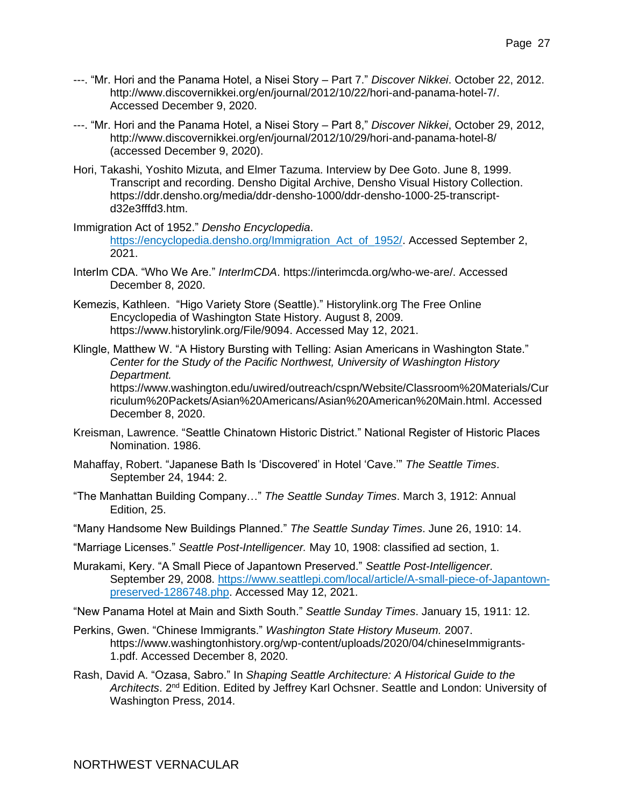- ---. "Mr. Hori and the Panama Hotel, a Nisei Story Part 7." *Discover Nikkei*. October 22, 2012. http://www.discovernikkei.org/en/journal/2012/10/22/hori-and-panama-hotel-7/. Accessed December 9, 2020.
- ---. "Mr. Hori and the Panama Hotel, a Nisei Story Part 8," *Discover Nikkei*, October 29, 2012, http://www.discovernikkei.org/en/journal/2012/10/29/hori-and-panama-hotel-8/ (accessed December 9, 2020).
- Hori, Takashi, Yoshito Mizuta, and Elmer Tazuma. Interview by Dee Goto. June 8, 1999. Transcript and recording. Densho Digital Archive, Densho Visual History Collection. [https://ddr.densho.org/media/ddr-densho-1000/ddr-densho-1000-25-transcript](https://ddr.densho.org/media/ddr-densho-1000/ddr-densho-1000-25-transcript-d32e3fffd3.htm)[d32e3fffd3.htm.](https://ddr.densho.org/media/ddr-densho-1000/ddr-densho-1000-25-transcript-d32e3fffd3.htm)
- Immigration Act of 1952." *Densho Encyclopedia*. [https://encyclopedia.densho.org/Immigration\\_Act\\_of\\_1952/.](https://encyclopedia.densho.org/Immigration_Act_of_1952/) Accessed September 2, 2021.
- InterIm CDA. "Who We Are." *InterImCDA*. https://interimcda.org/who-we-are/. Accessed December 8, 2020.
- Kemezis, Kathleen. "Higo Variety Store (Seattle)." Historylink.org The Free Online Encyclopedia of Washington State History. August 8, 2009. https://www.historylink.org/File/9094. Accessed May 12, 2021.
- Klingle, Matthew W. "A History Bursting with Telling: Asian Americans in Washington State." *Center for the Study of the Pacific Northwest, University of Washington History Department.*  https://www.washington.edu/uwired/outreach/cspn/Website/Classroom%20Materials/Cur riculum%20Packets/Asian%20Americans/Asian%20American%20Main.html. Accessed December 8, 2020.
- Kreisman, Lawrence. "Seattle Chinatown Historic District." National Register of Historic Places Nomination. 1986.
- Mahaffay, Robert. "Japanese Bath Is 'Discovered' in Hotel 'Cave.'" *The Seattle Times*. September 24, 1944: 2.
- "The Manhattan Building Company…" *The Seattle Sunday Times*. March 3, 1912: Annual Edition, 25.
- "Many Handsome New Buildings Planned." *The Seattle Sunday Times*. June 26, 1910: 14.
- "Marriage Licenses." *Seattle Post-Intelligencer.* May 10, 1908: classified ad section, 1.
- Murakami, Kery. "A Small Piece of Japantown Preserved." *Seattle Post-Intelligencer.*  September 29, 2008. [https://www.seattlepi.com/local/article/A-small-piece-of-Japantown](https://www.seattlepi.com/local/article/A-small-piece-of-Japantown-preserved-1286748.php)[preserved-1286748.php.](https://www.seattlepi.com/local/article/A-small-piece-of-Japantown-preserved-1286748.php) Accessed May 12, 2021.
- "New Panama Hotel at Main and Sixth South." *Seattle Sunday Times*. January 15, 1911: 12.
- Perkins, Gwen. "Chinese Immigrants." *Washington State History Museum.* 2007. https://www.washingtonhistory.org/wp-content/uploads/2020/04/chineseImmigrants-1.pdf. Accessed December 8, 2020.
- Rash, David A. "Ozasa, Sabro." In *Shaping Seattle Architecture: A Historical Guide to the*  Architects. 2<sup>nd</sup> Edition. Edited by Jeffrey Karl Ochsner. Seattle and London: University of Washington Press, 2014.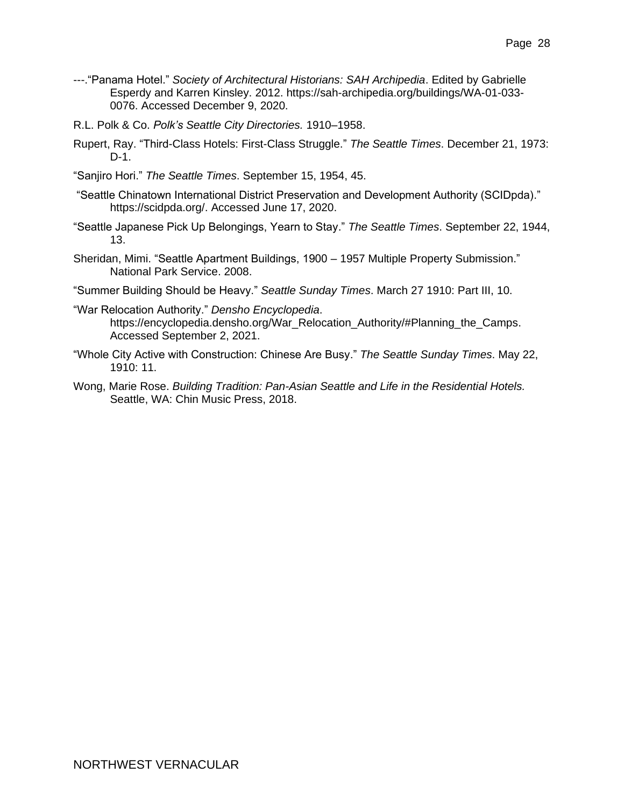- ---."Panama Hotel." *Society of Architectural Historians: SAH Archipedia*. Edited by Gabrielle Esperdy and Karren Kinsley. 2012. https://sah-archipedia.org/buildings/WA-01-033- 0076. Accessed December 9, 2020.
- R.L. Polk & Co. *Polk's Seattle City Directories.* 1910–1958.
- Rupert, Ray. "Third-Class Hotels: First-Class Struggle." *The Seattle Times*. December 21, 1973: D-1.
- "Sanjiro Hori." *The Seattle Times*. September 15, 1954, 45.
- "Seattle Chinatown International District Preservation and Development Authority (SCIDpda)." [https://scidpda.org/.](https://scidpda.org/) Accessed June 17, 2020.
- "Seattle Japanese Pick Up Belongings, Yearn to Stay." *The Seattle Times*. September 22, 1944, 13.
- Sheridan, Mimi. "Seattle Apartment Buildings, 1900 1957 Multiple Property Submission." National Park Service. 2008.
- "Summer Building Should be Heavy." *Seattle Sunday Times*. March 27 1910: Part III, 10.
- "War Relocation Authority." *Densho Encyclopedia*. [https://encyclopedia.densho.org/War\\_Relocation\\_Authority/#Planning\\_the\\_Camps.](https://encyclopedia.densho.org/War_Relocation_Authority/#Planning_the_Camps) Accessed September 2, 2021.
- "Whole City Active with Construction: Chinese Are Busy." *The Seattle Sunday Times*. May 22, 1910: 11.
- Wong, Marie Rose. *Building Tradition: Pan-Asian Seattle and Life in the Residential Hotels.* Seattle, WA: Chin Music Press, 2018.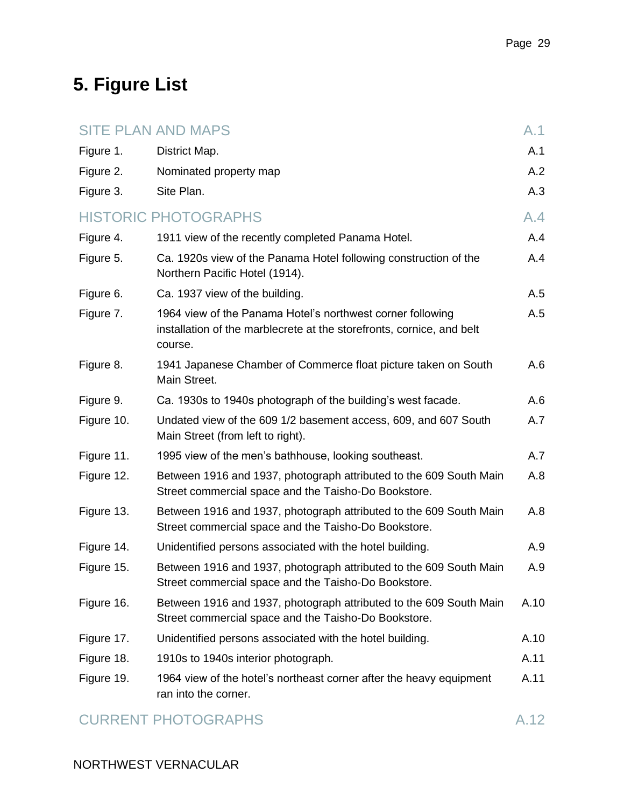# <span id="page-28-0"></span>**5. Figure List**

|            | <b>SITE PLAN AND MAPS</b>                                                                                                                      | A.1  |
|------------|------------------------------------------------------------------------------------------------------------------------------------------------|------|
| Figure 1.  | District Map.                                                                                                                                  | A.1  |
| Figure 2.  | Nominated property map                                                                                                                         | A.2  |
| Figure 3.  | Site Plan.                                                                                                                                     | A.3  |
|            | <b>HISTORIC PHOTOGRAPHS</b>                                                                                                                    | A.4  |
| Figure 4.  | 1911 view of the recently completed Panama Hotel.                                                                                              | A.4  |
| Figure 5.  | Ca. 1920s view of the Panama Hotel following construction of the<br>Northern Pacific Hotel (1914).                                             | A.4  |
| Figure 6.  | Ca. 1937 view of the building.                                                                                                                 | A.5  |
| Figure 7.  | 1964 view of the Panama Hotel's northwest corner following<br>installation of the marblecrete at the storefronts, cornice, and belt<br>course. | A.5  |
| Figure 8.  | 1941 Japanese Chamber of Commerce float picture taken on South<br>Main Street.                                                                 | A.6  |
| Figure 9.  | Ca. 1930s to 1940s photograph of the building's west facade.                                                                                   | A.6  |
| Figure 10. | Undated view of the 609 1/2 basement access, 609, and 607 South<br>Main Street (from left to right).                                           | A.7  |
| Figure 11. | 1995 view of the men's bathhouse, looking southeast.                                                                                           | A.7  |
| Figure 12. | Between 1916 and 1937, photograph attributed to the 609 South Main<br>Street commercial space and the Taisho-Do Bookstore.                     | A.8  |
| Figure 13. | Between 1916 and 1937, photograph attributed to the 609 South Main<br>Street commercial space and the Taisho-Do Bookstore.                     | A.8  |
| Figure 14. | Unidentified persons associated with the hotel building.                                                                                       | A.9  |
| Figure 15. | Between 1916 and 1937, photograph attributed to the 609 South Main<br>Street commercial space and the Taisho-Do Bookstore.                     | A.9  |
| Figure 16. | Between 1916 and 1937, photograph attributed to the 609 South Main<br>Street commercial space and the Taisho-Do Bookstore.                     | A.10 |
| Figure 17. | Unidentified persons associated with the hotel building.                                                                                       | A.10 |
| Figure 18. | 1910s to 1940s interior photograph.                                                                                                            | A.11 |
| Figure 19. | 1964 view of the hotel's northeast corner after the heavy equipment<br>ran into the corner.                                                    | A.11 |

### CURRENT PHOTOGRAPHS A.12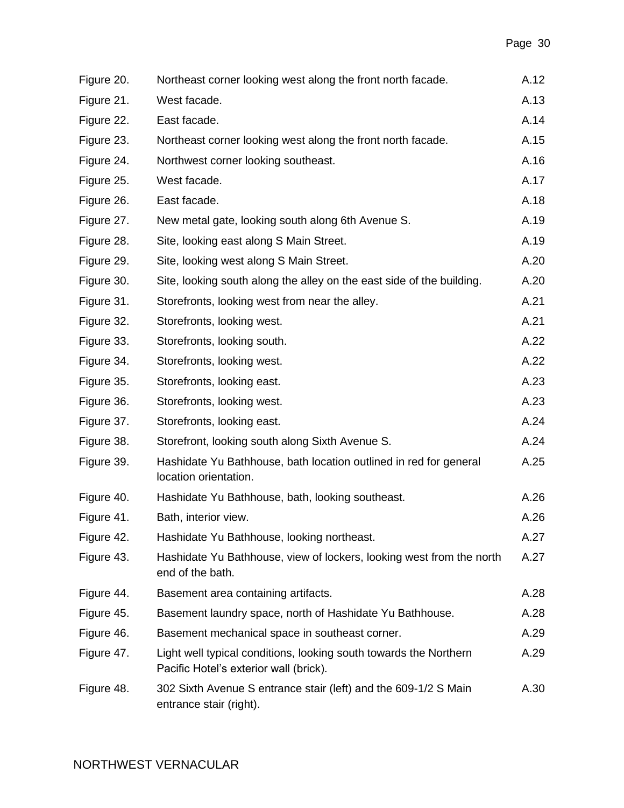| Figure 20. | Northeast corner looking west along the front north facade.                                                 | A.12 |
|------------|-------------------------------------------------------------------------------------------------------------|------|
| Figure 21. | West facade.                                                                                                | A.13 |
| Figure 22. | East facade.                                                                                                | A.14 |
| Figure 23. | Northeast corner looking west along the front north facade.                                                 | A.15 |
| Figure 24. | Northwest corner looking southeast.                                                                         | A.16 |
| Figure 25. | West facade.                                                                                                | A.17 |
| Figure 26. | East facade.                                                                                                | A.18 |
| Figure 27. | New metal gate, looking south along 6th Avenue S.                                                           | A.19 |
| Figure 28. | Site, looking east along S Main Street.                                                                     | A.19 |
| Figure 29. | Site, looking west along S Main Street.                                                                     | A.20 |
| Figure 30. | Site, looking south along the alley on the east side of the building.                                       | A.20 |
| Figure 31. | Storefronts, looking west from near the alley.                                                              | A.21 |
| Figure 32. | Storefronts, looking west.                                                                                  | A.21 |
| Figure 33. | Storefronts, looking south.                                                                                 | A.22 |
| Figure 34. | Storefronts, looking west.                                                                                  | A.22 |
| Figure 35. | Storefronts, looking east.                                                                                  | A.23 |
| Figure 36. | Storefronts, looking west.                                                                                  | A.23 |
| Figure 37. | Storefronts, looking east.                                                                                  | A.24 |
| Figure 38. | Storefront, looking south along Sixth Avenue S.                                                             | A.24 |
| Figure 39. | Hashidate Yu Bathhouse, bath location outlined in red for general<br>location orientation.                  | A.25 |
| Figure 40. | Hashidate Yu Bathhouse, bath, looking southeast.                                                            | A.26 |
| Figure 41. | Bath, interior view.                                                                                        | A.26 |
| Figure 42. | Hashidate Yu Bathhouse, looking northeast.                                                                  | A.27 |
| Figure 43. | Hashidate Yu Bathhouse, view of lockers, looking west from the north<br>end of the bath.                    | A.27 |
| Figure 44. | Basement area containing artifacts.                                                                         | A.28 |
| Figure 45. | Basement laundry space, north of Hashidate Yu Bathhouse.                                                    | A.28 |
| Figure 46. | Basement mechanical space in southeast corner.                                                              | A.29 |
| Figure 47. | Light well typical conditions, looking south towards the Northern<br>Pacific Hotel's exterior wall (brick). | A.29 |
| Figure 48. | 302 Sixth Avenue S entrance stair (left) and the 609-1/2 S Main<br>entrance stair (right).                  | A.30 |